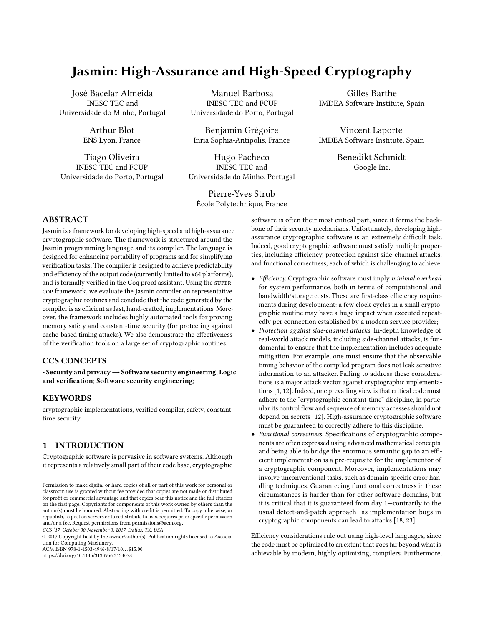# Jasmin: High-Assurance and High-Speed Cryptography

José Bacelar Almeida INESC TEC and Universidade do Minho, Portugal

> Arthur Blot ENS Lyon, France

Tiago Oliveira INESC TEC and FCUP Universidade do Porto, Portugal

Manuel Barbosa INESC TEC and FCUP Universidade do Porto, Portugal

Benjamin Grégoire Inria Sophia-Antipolis, France

Hugo Pacheco INESC TEC and Universidade do Minho, Portugal

Pierre-Yves Strub École Polytechnique, France

Gilles Barthe IMDEA Software Institute, Spain

Vincent Laporte IMDEA Software Institute, Spain

> Benedikt Schmidt Google Inc.

# ABSTRACT

Jasmin is a framework for developing high-speed and high-assurance cryptographic software. The framework is structured around the Jasmin programming language and its compiler. The language is designed for enhancing portability of programs and for simplifying verification tasks. The compiler is designed to achieve predictability and efficiency of the output code (currently limited to x64 platforms), and is formally verified in the Coq proof assistant. Using the supercop framework, we evaluate the Jasmin compiler on representative cryptographic routines and conclude that the code generated by the compiler is as efficient as fast, hand-crafted, implementations. Moreover, the framework includes highly automated tools for proving memory safety and constant-time security (for protecting against cache-based timing attacks). We also demonstrate the effectiveness of the verification tools on a large set of cryptographic routines.

# CCS CONCEPTS

• Security and privacy→Software security engineering; Logic and verification; Software security engineering;

# **KEYWORDS**

cryptographic implementations, verified compiler, safety, constanttime security

# 1 INTRODUCTION

Cryptographic software is pervasive in software systems. Although it represents a relatively small part of their code base, cryptographic

CCS '17, October 30-November 3, 2017, Dallas, TX, USA

© 2017 Copyright held by the owner/author(s). Publication rights licensed to Association for Computing Machinery. ACM ISBN 978-1-4503-4946-8/17/10. . . \$15.00

<https://doi.org/10.1145/3133956.3134078>

software is often their most critical part, since it forms the backbone of their security mechanisms. Unfortunately, developing highassurance cryptographic software is an extremely difficult task. Indeed, good cryptographic software must satisfy multiple properties, including efficiency, protection against side-channel attacks, and functional correctness, each of which is challenging to achieve:

- Efficiency. Cryptographic software must imply minimal overhead for system performance, both in terms of computational and bandwidth/storage costs. These are first-class efficiency requirements during development: a few clock-cycles in a small cryptographic routine may have a huge impact when executed repeatedly per connection established by a modern service provider;
- Protection against side-channel attacks. In-depth knowledge of real-world attack models, including side-channel attacks, is fundamental to ensure that the implementation includes adequate mitigation. For example, one must ensure that the observable timing behavior of the compiled program does not leak sensitive information to an attacker. Failing to address these considerations is a major attack vector against cryptographic implementations [\[1,](#page-13-0) [12\]](#page-13-1). Indeed, one prevailing view is that critical code must adhere to the "cryptographic constant-time" discipline, in particular its control flow and sequence of memory accesses should not depend on secrets [\[12\]](#page-13-1). High-assurance cryptographic software must be guaranteed to correctly adhere to this discipline.
- Functional correctness. Specifications of cryptographic components are often expressed using advanced mathematical concepts, and being able to bridge the enormous semantic gap to an efficient implementation is a pre-requisite for the implementor of a cryptographic component. Moreover, implementations may involve unconventional tasks, such as domain-specific error handling techniques. Guaranteeing functional correctness in these circumstances is harder than for other software domains, but it is critical that it is guaranteed from day 1—contrarily to the usual detect-and-patch approach—as implementation bugs in cryptographic components can lead to attacks [\[18,](#page-13-2) [23\]](#page-13-3).

Efficiency considerations rule out using high-level languages, since the code must be optimized to an extent that goes far beyond what is achievable by modern, highly optimizing, compilers. Furthermore,

Permission to make digital or hard copies of all or part of this work for personal or classroom use is granted without fee provided that copies are not made or distributed for profit or commercial advantage and that copies bear this notice and the full citation on the first page. Copyrights for components of this work owned by others than the author(s) must be honored. Abstracting with credit is permitted. To copy otherwise, or republish, to post on servers or to redistribute to lists, requires prior specific permission and/or a fee. Request permissions from permissions@acm.org.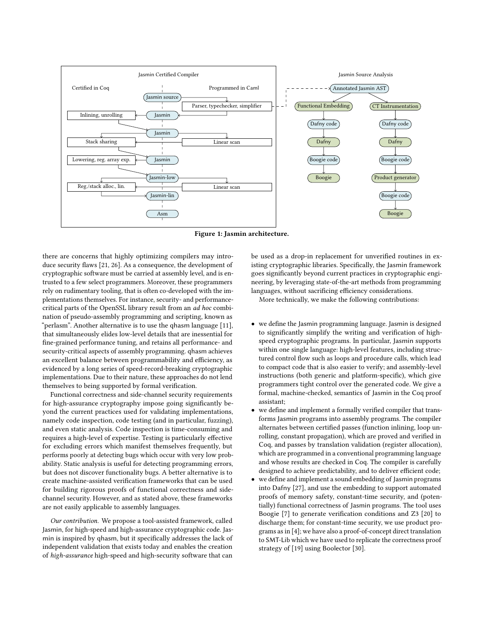<span id="page-1-0"></span>

Figure 1: Jasmin architecture.

there are concerns that highly optimizing compilers may introduce security flaws [\[21,](#page-13-4) [26\]](#page-13-5). As a consequence, the development of cryptographic software must be carried at assembly level, and is entrusted to a few select programmers. Moreover, these programmers rely on rudimentary tooling, that is often co-developed with the implementations themselves. For instance, security- and performancecritical parts of the OpenSSL library result from an ad hoc combination of pseudo-assembly programming and scripting, known as "perlasm". Another alternative is to use the qhasm language [\[11\]](#page-13-6), that simultaneously elides low-level details that are inessential for fine-grained performance tuning, and retains all performance- and security-critical aspects of assembly programming. qhasm achieves an excellent balance between programmability and efficiency, as evidenced by a long series of speed-record-breaking cryptographic implementations. Due to their nature, these approaches do not lend themselves to being supported by formal verification.

Functional correctness and side-channel security requirements for high-assurance cryptography impose going significantly beyond the current practices used for validating implementations, namely code inspection, code testing (and in particular, fuzzing), and even static analysis. Code inspection is time-consuming and requires a high-level of expertise. Testing is particularly effective for excluding errors which manifest themselves frequently, but performs poorly at detecting bugs which occur with very low probability. Static analysis is useful for detecting programming errors, but does not discover functionality bugs. A better alternative is to create machine-assisted verification frameworks that can be used for building rigorous proofs of functional correctness and sidechannel security. However, and as stated above, these frameworks are not easily applicable to assembly languages.

Our contribution. We propose a tool-assisted framework, called Jasmin, for high-speed and high-assurance cryptographic code. Jasmin is inspired by qhasm, but it specifically addresses the lack of independent validation that exists today and enables the creation of high-assurance high-speed and high-security software that can

be used as a drop-in replacement for unverified routines in existing cryptographic libraries. Specifically, the Jasmin framework goes significantly beyond current practices in cryptographic engineering, by leveraging state-of-the-art methods from programming languages, without sacrificing efficiency considerations.

More technically, we make the following contributions:

- we define the Jasmin programming language. Jasmin is designed to significantly simplify the writing and verification of highspeed cryptographic programs. In particular, Jasmin supports within one single language: high-level features, including structured control flow such as loops and procedure calls, which lead to compact code that is also easier to verify; and assembly-level instructions (both generic and platform-specific), which give programmers tight control over the generated code. We give a formal, machine-checked, semantics of Jasmin in the Coq proof assistant;
- we define and implement a formally verified compiler that transforms Jasmin programs into assembly programs. The compiler alternates between certified passes (function inlining, loop unrolling, constant propagation), which are proved and verified in Coq, and passes by translation validation (register allocation), which are programmed in a conventional programming language and whose results are checked in Coq. The compiler is carefully designed to achieve predictability, and to deliver efficient code;
- we define and implement a sound embedding of Jasmin programs into Dafny [\[27\]](#page-13-7), and use the embedding to support automated proofs of memory safety, constant-time security, and (potentially) functional correctness of Jasmin programs. The tool uses Boogie [\[7\]](#page-13-8) to generate verification conditions and Z3 [\[20\]](#page-13-9) to discharge them; for constant-time security, we use product programs as in [\[4\]](#page-13-10); we have also a proof-of-concept direct translation to SMT-Lib which we have used to replicate the correctness proof strategy of [\[19\]](#page-13-11) using Boolector [\[30\]](#page-14-0).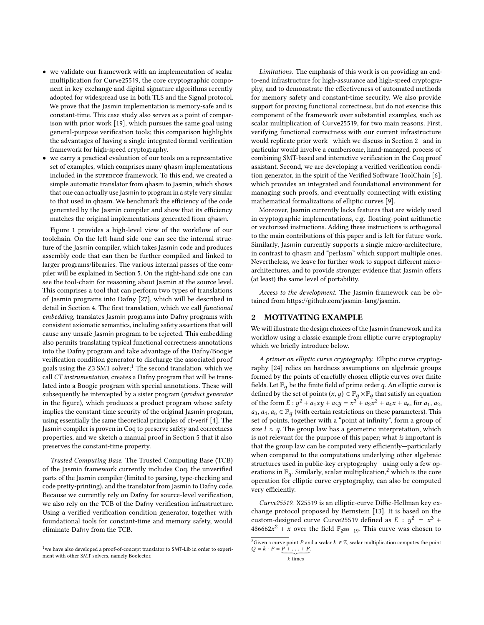- we validate our framework with an implementation of scalar multiplication for Curve25519, the core cryptographic component in key exchange and digital signature algorithms recently adopted for widespread use in both TLS and the Signal protocol. We prove that the Jasmin implementation is memory-safe and is constant-time. This case study also serves as a point of comparison with prior work [\[19\]](#page-13-11), which pursues the same goal using general-purpose verification tools; this comparison highlights the advantages of having a single integrated formal verification framework for high-speed cryptography.
- we carry a practical evaluation of our tools on a representative set of examples, which comprises many qhasm implementations included in the supercop framework. To this end, we created a simple automatic translator from qhasm to Jasmin, which shows that one can actually use Jasmin to program in a style very similar to that used in qhasm. We benchmark the efficiency of the code generated by the Jasmin compiler and show that its efficiency matches the original implementations generated from qhasm.

Figure [1](#page-1-0) provides a high-level view of the workflow of our toolchain. On the left-hand side one can see the internal structure of the Jasmin compiler, which takes Jasmin code and produces assembly code that can then be further compiled and linked to larger programs/libraries. The various internal passes of the compiler will be explained in Section [5.](#page-9-0) On the right-hand side one can see the tool-chain for reasoning about Jasmin at the source level. This comprises a tool that can perform two types of translations of Jasmin programs into Dafny [\[27\]](#page-13-7), which will be described in detail in Section [4.](#page-7-0) The first translation, which we call functional embedding, translates Jasmin programs into Dafny programs with consistent axiomatic semantics, including safety assertions that will cause any unsafe Jasmin program to be rejected. This embedding also permits translating typical functional correctness annotations into the Dafny program and take advantage of the Dafny/Boogie verification condition generator to discharge the associated proof goals using the  $Z3$  SMT solver;<sup>[1](#page-2-0)</sup> The second translation, which we call CT instrumentation, creates a Dafny program that will be translated into a Boogie program with special annotations. These will subsequently be intercepted by a sister program (product generator in the figure), which produces a product program whose safety implies the constant-time security of the original Jasmin program, using essentially the same theoretical principles of ct-verif [\[4\]](#page-13-10). The Jasmin compiler is proven in Coq to preserve safety and correctness properties, and we sketch a manual proof in Section [5](#page-9-0) that it also preserves the constant-time property.

Trusted Computing Base. The Trusted Computing Base (TCB) of the Jasmin framework currently includes Coq, the unverified parts of the Jasmin compiler (limited to parsing, type-checking and code pretty-printing), and the translator from Jasmin to Dafny code. Because we currently rely on Dafny for source-level verification, we also rely on the TCB of the Dafny verification infrastructure. Using a verified verification condition generator, together with foundational tools for constant-time and memory safety, would eliminate Dafny from the TCB.

Limitations. The emphasis of this work is on providing an endto-end infrastructure for high-assurance and high-speed cryptography, and to demonstrate the effectiveness of automated methods for memory safety and constant-time security. We also provide support for proving functional correctness, but do not exercise this component of the framework over substantial examples, such as scalar multiplication of Curve25519, for two main reasons. First, verifying functional correctness with our current infrastructure would replicate prior work—which we discuss in Section [2—](#page-2-1)and in particular would involve a cumbersome, hand-managed, process of combining SMT-based and interactive verification in the Coq proof assistant. Second, we are developing a verified verification condition generator, in the spirit of the Verified Software ToolChain [\[6\]](#page-13-12), which provides an integrated and foundational environment for managing such proofs, and eventually connecting with existing mathematical formalizations of elliptic curves [\[9\]](#page-13-13).

Moreover, Jasmin currently lacks features that are widely used in cryptographic implementations, e.g. floating-point arithmetic or vectorized instructions. Adding these instructions is orthogonal to the main contributions of this paper and is left for future work. Similarly, Jasmin currently supports a single micro-architecture, in contrast to qhasm and "perlasm" which support multiple ones. Nevertheless, we leave for further work to support different microarchitectures, and to provide stronger evidence that Jasmin offers (at least) the same level of portability.

Access to the development. The Jasmin framework can be obtained from [https://github.com/jasmin-lang/jasmin.](https://github.com/jasmin-lang/jasmin)

# <span id="page-2-1"></span>2 MOTIVATING EXAMPLE

We will illustrate the design choices of the Jasmin framework and its workflow using a classic example from elliptic curve cryptography which we briefly introduce below.

A primer on elliptic curve cryptography. Elliptic curve cryptography [\[24\]](#page-13-14) relies on hardness assumptions on algebraic groups formed by the points of carefully chosen elliptic curves over finite fields. Let  $\mathbb{F}_q$  be the finite field of prime order q. An elliptic curve is defined by the set of points  $(x, y) \in \mathbb{F}_q \times \mathbb{F}_q$  that satisfy an equation of the form  $E: y^2 + a_1xy + a_3y = x^3 + a_2x^2 + a_4x + a_6$ , for  $a_1, a_2$ ,<br> $a_2, a_4 \in \mathbb{F}$  (with certain restrictions on these parameters). This  $a_3, a_4, a_6 \in \mathbb{F}_q$  (with certain restrictions on these parameters). This set of points, together with a "point at infinity", form a group of size  $l \approx q$ . The group law has a geometric interpretation, which is not relevant for the purpose of this paper; what is important is that the group law can be computed very efficiently—particularly when compared to the computations underlying other algebraic structures used in public-key cryptography—using only a few operations in  $\mathbb{F}_q$ . Similarly, scalar multiplication,<sup>[2](#page-2-2)</sup> which is the core operation for elliptic curve cryptography, can also be computed very efficiently.

Curve25519. X25519 is an elliptic-curve Diffie-Hellman key exchange protocol proposed by Bernstein [\[13\]](#page-13-15). It is based on the custom-designed curve Curve25519 defined as  $E : y^2 = x^3 + 486662x^2 + x$  over the field  $\mathbb{R}$  as This curve was chosen to  $\frac{486662x^2 + x}{x}$  over the field  $\mathbb{F}_{2^{255}-19}$ . This curve was chosen to

<span id="page-2-0"></span> $^{\rm 1}$  we have also developed a proof-of-concept translator to SMT-Lib in order to experiment with other SMT solvers, namely Boolector.

<span id="page-2-2"></span> $^2$  Given a curve point  $P$  and a scalar  $k\, \in\, \mathbb{Z},$  scalar multiplication computes the point  $Q = k \cdot P = \underbrace{P + \ldots + P}_{k \text{ times}}.$ 

 $\boldsymbol{k}$  times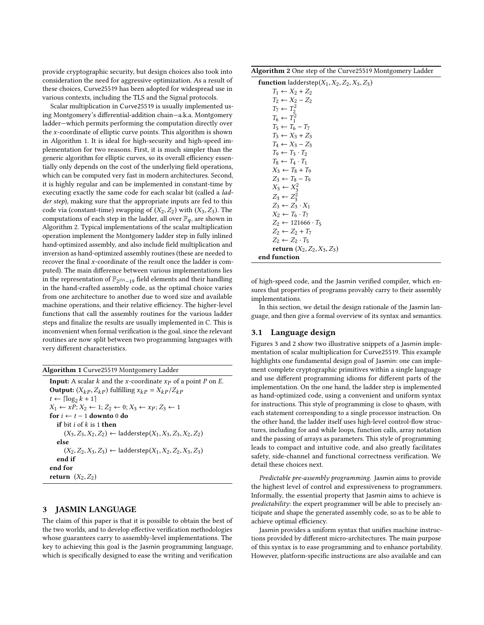provide cryptographic security, but design choices also took into consideration the need for aggressive optimization. As a result of these choices, Curve25519 has been adopted for widespread use in various contexts, including the TLS and the Signal protocols.

Scalar multiplication in Curve25519 is usually implemented using Montgomery's differential-addition chain—a.k.a. Montgomery ladder—which permits performing the computation directly over the x-coordinate of elliptic curve points. This algorithm is shown in Algorithm [1.](#page-3-0) It is ideal for high-security and high-speed implementation for two reasons. First, it is much simpler than the generic algorithm for elliptic curves, so its overall efficiency essentially only depends on the cost of the underlying field operations, which can be computed very fast in modern architectures. Second, it is highly regular and can be implemented in constant-time by executing exactly the same code for each scalar bit (called a ladder step), making sure that the appropriate inputs are fed to this code via (constant-time) swapping of  $(X_2, Z_2)$  with  $(X_3, Z_3)$ . The computations of each step in the ladder, all over  $\mathbb{F}_q$ , are shown in Algorithm [2.](#page-3-1) Typical implementations of the scalar multiplication operation implement the Montgomery ladder step in fully inlined hand-optimized assembly, and also include field multiplication and inversion as hand-optimized assembly routines (these are needed to recover the final x-coordinate of the result once the ladder is computed). The main difference between various implementations lies in the representation of  $\mathbb{F}_{2^{255}-19}$  field elements and their handling in the hand-crafted assembly code, as the optimal choice varies from one architecture to another due to word size and available machine operations, and their relative efficiency. The higher-level functions that call the assembly routines for the various ladder steps and finalize the results are usually implemented in C. This is inconvenient when formal verification is the goal, since the relevant routines are now split between two programming languages with very different characteristics.

<span id="page-3-0"></span>

| Algorithm 1 Curve25519 Montgomery Ladder |  |  |  |
|------------------------------------------|--|--|--|
|                                          |  |  |  |

**Input:** A scalar k and the x-coordinate  $x_p$  of a point P on E. **Output:**  $(X_{kP}, Z_{kP})$  fulfilling  $x_{kP} = X_{kP}/Z_{kP}$  $t \leftarrow \lceil \log_2 k + 1 \rceil$ <br>  $Y_t \leftarrow xP \cdot Y_0 \leftarrow$  $X_1 \leftarrow xP; X_2 \leftarrow 1; Z_2 \leftarrow 0; X_3 \leftarrow xP; Z_3 \leftarrow 1$ for  $i \leftarrow t - 1$  downto 0 do if bit  $i$  of  $k$  is 1 then  $(X_3, Z_3, X_2, Z_2) \leftarrow$  ladderstep $(X_1, X_3, Z_3, X_2, Z_2)$ else  $(X_2, Z_2, X_3, Z_3) \leftarrow$  ladderstep $(X_1, X_2, Z_2, X_3, Z_3)$ end if end for return  $(X_2, Z_2)$ 

# 3 JASMIN LANGUAGE

The claim of this paper is that it is possible to obtain the best of the two worlds, and to develop effective verification methodologies whose guarantees carry to assembly-level implementations. The key to achieving this goal is the Jasmin programming language, which is specifically designed to ease the writing and verification

<span id="page-3-1"></span>Algorithm 2 One step of the Curve25519 Montgomery Ladder

| <b>function</b> ladderstep( $X_1, X_2, Z_2, X_3, Z_3$ ) |  |
|---------------------------------------------------------|--|
| $T_1 \leftarrow X_2 + Z_2$                              |  |
| $T_2 \leftarrow X_2 - Z_2$                              |  |
| $T_7 \leftarrow T_2^2$                                  |  |
| $T_6 \leftarrow T_1^2$                                  |  |
| $T_5 \leftarrow T_6 - T_7$                              |  |
| $T_3 \leftarrow X_3 + Z_3$                              |  |
| $T_4 \leftarrow X_3 - Z_3$                              |  |
| $T_9 \leftarrow T_3 \cdot T_2$                          |  |
| $T_8 \leftarrow T_4 \cdot T_1$                          |  |
| $X_3 \leftarrow T_8 + T_9$                              |  |
| $Z_3 \leftarrow T_8 - T_9$                              |  |
| $X_3 \leftarrow X_3^2$                                  |  |
| $Z_3 \leftarrow Z_3^2$                                  |  |
| $Z_3 \leftarrow Z_3 \cdot X_1$                          |  |
| $X_2 \leftarrow T_6 \cdot T_7$                          |  |
| $Z_2 \leftarrow 121666 \cdot T_5$                       |  |
| $Z_2 \leftarrow Z_2 + T_7$                              |  |
| $Z_2 \leftarrow Z_2 \cdot T_5$                          |  |
| <b>return</b> $(X_2, Z_2, X_3, Z_3)$                    |  |
| end function                                            |  |

of high-speed code, and the Jasmin verified compiler, which ensures that properties of programs provably carry to their assembly implementations.

In this section, we detail the design rationale of the Jasmin language, and then give a formal overview of its syntax and semantics.

## 3.1 Language design

Figures [3](#page-5-0) and [2](#page-4-0) show two illustrative snippets of a Jasmin implementation of scalar multiplication for Curve25519. This example highlights one fundamental design goal of Jasmin: one can implement complete cryptographic primitives within a single language and use different programming idioms for different parts of the implementation. On the one hand, the ladder step is implemented as hand-optimized code, using a convenient and uniform syntax for instructions. This style of programming is close to qhasm, with each statement corresponding to a single processor instruction. On the other hand, the ladder itself uses high-level control-flow structures, including for and while loops, function calls, array notation and the passing of arrays as parameters. This style of programming leads to compact and intuitive code, and also greatly facilitates safety, side-channel and functional correctness verification. We detail these choices next.

Predictable pre-assembly programming. Jasmin aims to provide the highest level of control and expressiveness to programmers. Informally, the essential property that Jasmin aims to achieve is predictability: the expert programmer will be able to precisely anticipate and shape the generated assembly code, so as to be able to achieve optimal efficiency.

Jasmin provides a uniform syntax that unifies machine instructions provided by different micro-architectures. The main purpose of this syntax is to ease programming and to enhance portability. However, platform-specific instructions are also available and can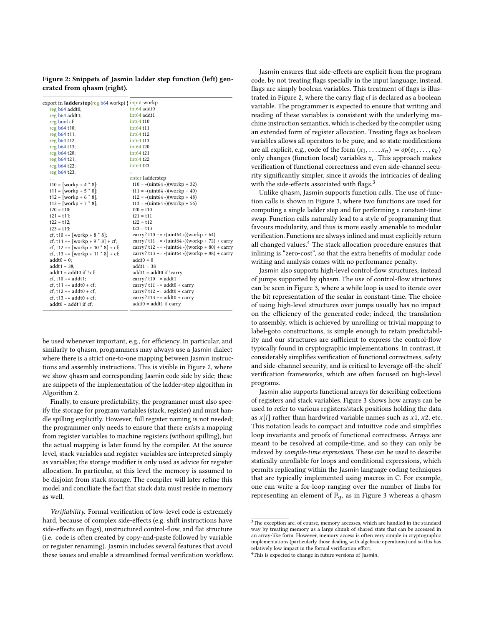<span id="page-4-0"></span>Figure 2: Snippets of Jasmin ladder step function (left) generated from qhasm (right).

| reg b64 addt0;                      | int <sub>64</sub> addt0                             |
|-------------------------------------|-----------------------------------------------------|
| reg b64 addt1;                      | int64 addt1                                         |
| reg bool cf;                        | int64 t10                                           |
| reg b64 t10;                        | int64 t11                                           |
| reg b64 t11;                        | int64 t12                                           |
| reg b64 t12;                        | int64 t13                                           |
| reg b64 t13;                        | int64 t20                                           |
| reg b64 t20;                        | int64 t21                                           |
| reg b64 t21;                        | int64 t22                                           |
| reg b64 t22;                        | int64 t23                                           |
| reg b64 t23;                        |                                                     |
| .                                   | enter ladderstep                                    |
| t10 = [workp + 4 $*$ 8];            | $t10 = * (uint64 *) (workp + 32)$                   |
| t11 = [workp + 5 $*$ 8];            | $t11 = * (uint64 *) (workp + 40)$                   |
| t12 = [workp + 6 $*$ 8];            | $t12 = * (uint64 *) (workp + 48)$                   |
| $t13 = [workp + 7 * 8];$            | $t13 = * (uint64 *) (workp + 56)$                   |
| $t20 = t10$ ;                       | $t20 = t10$                                         |
| $t21 = t11$ ;                       | $t21 = t11$                                         |
| $t22 = t12$ ;                       | $t22 = t12$                                         |
| $t23 = t13$ :                       | $t23 = t13$                                         |
| cf, t10 += [workp + 8 $*$ 8];       | carry? t10 += $*($ uint64 $*)($ workp + 64)         |
| cf, t11 += [workp + 9 $*$ 8] + cf;  | carry? t11 += $*($ uint64 $*)($ workp + 72) + carry |
| cf, t12 += [workp + 10 $*$ 8] + cf; | carry? t12 += *(uint64 *)(workp + 80) + carry       |
| cf, t13 += [workp + 11 $*$ 8] + cf; | carry? t13 += $*($ uint64 $*)($ workp + 88) + carry |
| $addt0 = 0$ ;                       | $addt0 = 0$                                         |
| $addt1 = 38$ ;                      | $addt1 = 38$                                        |
| $addt1 = addt0$ if ! cf;            | $addt1 = addt0$ if !carry                           |
| $cf. t10 += addt1$ ;                | carry? $t10 += addt1$                               |
| cf, t11 += $addt0 + cf$ ;           | carry? $t11 == addt0 + carry$                       |
| cf, t12 += $addt0 + cf$ ;           | carry? $t12 == addt0 + carry$                       |
| cf, t13 += $addt0 + cf$ ;           | carry? $t13 == addt0 + carry$                       |
| $addt0 = addt1$ if cf;              | $addt0 = addt1$ if carry                            |
|                                     |                                                     |

be used whenever important, e.g., for efficiency. In particular, and similarly to qhasm, programmers may always use a Jasmin dialect where there is a strict one-to-one mapping between Jasmin instructions and assembly instructions. This is visible in Figure [2,](#page-4-0) where we show qhasm and corresponding Jasmin code side by side; these are snippets of the implementation of the ladder-step algorithm in Algorithm [2.](#page-3-1)

Finally, to ensure predictability, the programmer must also specify the storage for program variables (stack, register) and must handle spilling explicitly. However, full register naming is not needed; the programmer only needs to ensure that there exists a mapping from register variables to machine registers (without spilling), but the actual mapping is later found by the compiler. At the source level, stack variables and register variables are interpreted simply as variables; the storage modifier is only used as advice for register allocation. In particular, at this level the memory is assumed to be disjoint from stack storage. The compiler will later refine this model and conciliate the fact that stack data must reside in memory as well.

Verifiability. Formal verification of low-level code is extremely hard, because of complex side-effects (e.g. shift instructions have side-effects on flags), unstructured control-flow, and flat structure (i.e. code is often created by copy-and-paste followed by variable or register renaming). Jasmin includes several features that avoid these issues and enable a streamlined formal verification workflow.

Jasmin ensures that side-effects are explicit from the program code, by not treating flags specially in the input language; instead, flags are simply boolean variables. This treatment of flags is illustrated in Figure [2,](#page-4-0) where the carry flag cf is declared as a boolean variable. The programmer is expected to ensure that writing and reading of these variables is consistent with the underlying machine instruction semantics, which is checked by the compiler using an extended form of register allocation. Treating flags as boolean variables allows all operators to be pure, and so state modifications are all explicit, e.g., code of the form  $(x_1, \ldots, x_n) := op(e_1, \ldots, e_k)$ <br>only changes (function local) variables x. This approach makes only changes (function local) variables  $x_i$ . This approach makes<br>verification of functional correctness and even side-channel secuverification of functional correctness and even side-channel security significantly simpler, since it avoids the intricacies of dealing with the side-effects associated with flags.<sup>[3](#page-4-1)</sup>

Unlike qhasm, Jasmin supports function calls. The use of function calls is shown in Figure [3,](#page-5-0) where two functions are used for computing a single ladder step and for performing a constant-time swap. Function calls naturally lead to a style of programming that favours modularity, and thus is more easily amenable to modular verification. Functions are always inlined and must explicitly return all changed values.[4](#page-4-2) The stack allocation procedure ensures that inlining is "zero-cost", so that the extra benefits of modular code writing and analysis comes with no performance penalty.

Jasmin also supports high-level control-flow structures, instead of jumps supported by qhasm. The use of control-flow structures can be seen in Figure [3,](#page-5-0) where a while loop is used to iterate over the bit representation of the scalar in constant-time. The choice of using high-level structures over jumps usually has no impact on the efficiency of the generated code; indeed, the translation to assembly, which is achieved by unrolling or trivial mapping to label-goto constructions, is simple enough to retain predictability and our structures are sufficient to express the control-flow typically found in cryptographic implementations. In contrast, it considerably simplifies verification of functional correctness, safety and side-channel security, and is critical to leverage off-the-shelf verification frameworks, which are often focused on high-level programs.

Jasmin also supports functional arrays for describing collections of registers and stack variables. Figure [3](#page-5-0) shows how arrays can be used to refer to various registers/stack positions holding the data as  $x[i]$  rather than hardwired variable names such as  $x1$ ,  $x2$ , etc. This notation leads to compact and intuitive code and simplifies loop invariants and proofs of functional correctness. Arrays are meant to be resolved at compile-time, and so they can only be indexed by compile-time expressions. These can be used to describe statically unrollable for loops and conditional expressions, which permits replicating within the Jasmin language coding techniques that are typically implemented using macros in C. For example, one can write a for-loop ranging over the number of limbs for representing an element of  $\mathbb{F}_q$ , as in Figure [3](#page-5-0) whereas a qhasm

<span id="page-4-1"></span><sup>&</sup>lt;sup>3</sup>The exception are, of course, memory accesses, which are handled in the standard way by treating memory as a large chunk of shared state that can be accessed in an array-like form. However, memory access is often very simple in cryptographic implementations (particularly those dealing with algebraic operations) and so this has relatively low impact in the formal verification effort.

<span id="page-4-2"></span><sup>&</sup>lt;sup>4</sup>This is expected to change in future versions of Jasmin.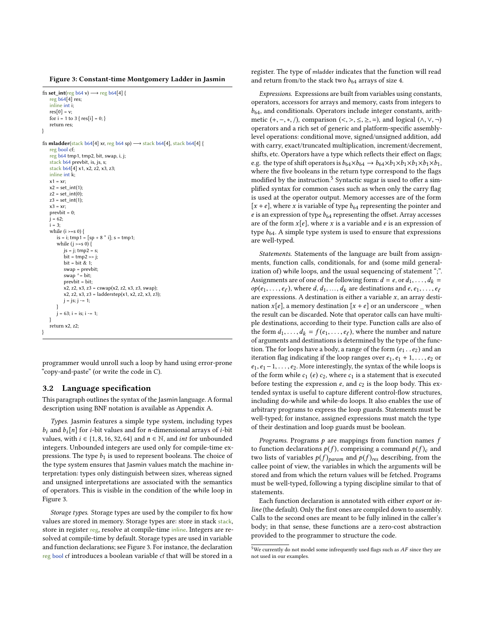<span id="page-5-0"></span>Figure 3: Constant-time Montgomery Ladder in Jasmin

```
fn set int(reg b64 v) \rightarrow reg b64[4] {
   reg b64[4] res;
   inline int i;
   res[0] = v;for i = 1 to 3 {res[i] = 0; }return res;
}
fn mladder(stack b64[4] xr, reg b64 sp) \rightarrow stack b64[4], stack b64[4] {
   reg bool cf;
   reg b64 tmp1, tmp2, bit, swap, i, j;
   stack b64 prevbit, is, js, s;
   stack b64[4] x1, x2, z2, x3, z3;
   inline int k;
   x1 = xrx2 = set\_int(1);z2 = set int(0);
   z3 = set\_int(1);x3 = xr;prevbit = 0;
   j = 62;i = 3;while (i \ge s 0) {
       is = i; tmp1 = [sp + 8 * i]; s = tmp1;while (j \ge s 0) {
          is = i; tmp2 = s;
           bit = tmp2 \gg j;bit = bit & 1;
           swap = prevbit<mark>;</mark><br>swap ^= bit:
          prevbit = bit;
           x2, z2, x3, z3 = cswap(x2, z2, x3, z3, swap);x2, z2, x3, z3 = ladderstep(x1, x2, z2, x3, z3);
          j = js; j = 1;}
        = 63; i = is; i -= 1;
    }
   return x2. z2}
```
programmer would unroll such a loop by hand using error-prone "copy-and-paste" (or write the code in C).

#### 3.2 Language specification

This paragraph outlines the syntax of the Jasmin language. A formal description using BNF notation is available as Appendix [A.](#page-14-1)

Types. Jasmin features a simple type system, including types  $b_i$  and  $b_i[n]$  for *i*-bit values and for *n*-dimensional arrays of *i*-bit values, with *i* ∈ {1, 8, 16, 32, 64} and *n* ∈  $\mathbb N$ , and *int* for unbounded integers. Unbounded integers are used only for compile-time expressions. The type  $b_1$  is used to represent booleans. The choice of the type system ensures that Jasmin values match the machine interpretation: types only distinguish between sizes, whereas signed and unsigned interpretations are associated with the semantics of operators. This is visible in the condition of the while loop in Figure [3.](#page-5-0)

Storage types. Storage types are used by the compiler to fix how values are stored in memory. Storage types are: store in stack stack, store in register reg, resolve at compile-time inline. Integers are resolved at compile-time by default. Storage types are used in variable and function declarations; see Figure [3.](#page-5-0) For instance, the declaration reg bool cf introduces a boolean variable cf that will be stored in a

register. The type of mladder indicates that the function will read and return from/to the stack two  $b_{64}$  arrays of size 4.

Expressions. Expressions are built from variables using constants, operators, accessors for arrays and memory, casts from integers to  $b_{64}$ , and conditionals. Operators include integer constants, arithmetic  $(+, -, *, /)$ , comparison  $(<, >, \leq, \geq, =)$ , and logical  $(∧, ∨, ¬)$ operators and a rich set of generic and platform-specific assemblylevel operations: conditional move, signed/unsigned addition, add with carry, exact/truncated multiplication, increment/decrement, shifts, etc. Operators have a type which reflects their effect on flags; e.g. the type of shift operators is  $b_{64} \times b_{64} \rightarrow b_{64} \times b_1 \times b_1 \times b_1 \times b_1$ , where the five booleans in the return type correspond to the flags modified by the instruction.<sup>[5](#page-5-1)</sup> Syntactic sugar is used to offer a simplified syntax for common cases such as when only the carry flag is used at the operator output. Memory accesses are of the form  $[x + e]$ , where x is variable of type  $b_{64}$  representing the pointer and e is an expression of type  $b_{64}$  representing the offset. Array accesses are of the form  $x[e]$ , where x is a variable and e is an expression of type  $b_{64}$ . A simple type system is used to ensure that expressions are well-typed.

Statements. Statements of the language are built from assignments, function calls, conditionals, for and (some mild generalization of) while loops, and the usual sequencing of statement ";". Assignments are of one of the following form:  $d = e$ , or  $d_1, \ldots, d_k =$  $op(e_1, \ldots, e_\ell)$ , where  $d, d_1, \ldots, d_k$  are destinations and  $e, e_1, \ldots, e_\ell$ <br>are expressions. A destination is either a variable x, an array destination are expressions. A destination is either a variable  $x$ , an array destination  $x[e]$ , a memory destination  $[x + e]$  or an underscore when the result can be discarded. Note that operator calls can have multiple destinations, according to their type. Function calls are also of the form  $d_1, \ldots, d_k = f(e_1, \ldots, e_\ell)$ , where the number and nature<br>of arguments and destinations is determined by the type of the funcof arguments and destinations is determined by the type of the function. The for loops have a body, a range of the form  $(e_1 \nvert e_2)$  and an iteration flag indicating if the loop ranges over  $e_1, e_1 + 1, \ldots, e_2$  or  $e_1, e_1 - 1, \ldots, e_2$ . More interestingly, the syntax of the while loops is of the form while  $c_1$  (e)  $c_2$ , where  $c_1$  is a statement that is executed before testing the expression  $e$ , and  $c_2$  is the loop body. This extended syntax is useful to capture different control-flow structures, including do-while and while-do loops. It also enables the use of arbitrary programs to express the loop guards. Statements must be well-typed; for instance, assigned expressions must match the type of their destination and loop guards must be boolean.

*Programs.* Programs  $p$  are mappings from function names  $f$ to function declarations  $p(f)$ , comprising a command  $p(f)<sub>c</sub>$  and two lists of variables  $p(f)_{param}$  and  $p(f)_{res}$  describing, from the callee point of view, the variables in which the arguments will be stored and from which the return values will be fetched. Programs must be well-typed, following a typing discipline similar to that of statements.

Each function declaration is annotated with either export or inline (the default). Only the first ones are compiled down to assembly. Calls to the second ones are meant to be fully inlined in the caller's body; in that sense, these functions are a zero-cost abstraction provided to the programmer to structure the code.

<span id="page-5-1"></span> $^5\rm{We}$  currently do not model some infrequently used flags such as  $AF$  since they are not used in our examples.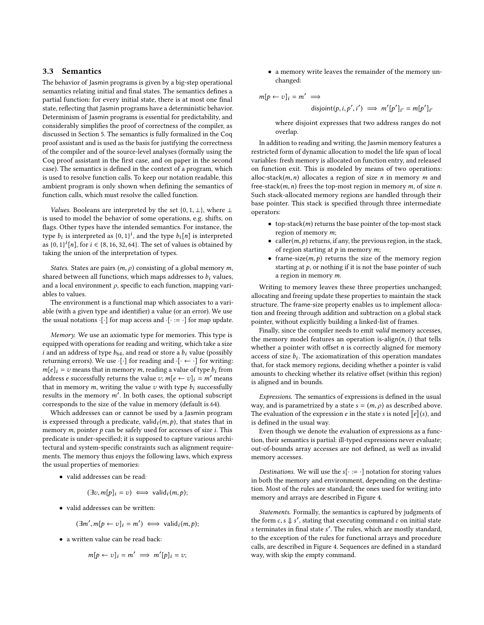## 3.3 Semantics

The behavior of Jasmin programs is given by a big-step operational semantics relating initial and final states. The semantics defines a partial function: for every initial state, there is at most one final state, reflecting that Jasmin programs have a deterministic behavior. Determinism of Jasmin programs is essential for predictability, and considerably simplifies the proof of correctness of the compiler, as discussed in Section [5.](#page-9-0) The semantics is fully formalized in the Coq proof assistant and is used as the basis for justifying the correctness of the compiler and of the source-level analyses (formally using the Coq proof assistant in the first case, and on paper in the second case). The semantics is defined in the context of a program, which is used to resolve function calls. To keep our notation readable, this ambient program is only shown when defining the semantics of function calls, which must resolve the called function.

Values. Booleans are interpreted by the set {0, 1,  $\perp$ }, where  $\perp$ is used to model the behavior of some operations, e.g. shifts, on flags. Other types have the intended semantics. For instance, the type  $b_i$  is interpreted as  $\{0, 1\}^i$ , and the type  $b_i[n]$  is interpreted<br>as  $\{0, 1\}^i[n]$  for  $i \in \{8, 16, 32, 64\}$ . The set of values is obtained by as  $\{0, 1\}^i[n]$ , for  $i \in \{8, 16, 32, 64\}$ . The set of values is obtained by taking the union of the interpretation of types taking the union of the interpretation of types.

States. States are pairs  $(m, \rho)$  consisting of a global memory m, shared between all functions, which maps addresses to  $b_i$  values, and a local environment  $\rho$ , specific to each function, mapping variables to values.

The environment is a functional map which associates to a variable (with a given type and identifier) a value (or an error). We use the usual notations  $\cdot[\cdot]$  for map access and  $\cdot[\cdot] = \cdot$  for map update.

Memory. We use an axiomatic type for memories. This type is equipped with operations for reading and writing, which take a size i and an address of type  $b_{64}$ , and read or store a  $b_i$  value (possibly returning errors). We use  $\cdot[\cdot]$  for reading and  $\cdot[\cdot \leftarrow \cdot]$  for writing:  $m[e]_i = v$  means that in memory m, reading a value of type  $b_i$  from address *e* successfully returns the value *v*;  $m[e \leftarrow v]_i = m'$  means that in memory  $m$ , writing the value  $v$  with type  $b_i$  successfully results in the memory  $m'$ . In both cases, the optional subscript corresponds to the size of the value in memory (default is  $(4)$ ) corresponds to the size of the value in memory (default is 64).

Which addresses can or cannot be used by a Jasmin program is expressed through a predicate, valid $_i(m, p)$ , that states that in<br>memory m, pointer a can be safely used for accesses of size i. This memory  $m$ , pointer  $p$  can be safely used for accesses of size  $i$ . This predicate is under-specified; it is supposed to capture various architectural and system-specific constraints such as alignment requirements. The memory thus enjoys the following laws, which express the usual properties of memories:

• valid addresses can be read:

$$
(\exists v, m[p]_i = v) \iff \text{valid}_i(m, p);
$$

• valid addresses can be written:

$$
(\exists m', m[p \leftarrow v]_i = m') \iff \text{valid}_i(m, p);
$$

• a written value can be read back:

$$
m[p \leftarrow v]_i = m' \implies m'[p]_i = v;
$$

• a memory write leaves the remainder of the memory unchanged:

$$
m[p \leftarrow v]_i = m' \implies
$$

disjoint
$$
(p, i, p', i')
$$
  $\implies$   $m'[p']_{i'} = m[p']_{i'}$ 

where disjoint expresses that two address ranges do not overlap.

In addition to reading and writing, the Jasmin memory features a restricted form of dynamic allocation to model the life span of local variables: fresh memory is allocated on function entry, and released on function exit. This is modeled by means of two operations: alloc-stack $(m, n)$  allocates a region of size *n* in memory *m* and free-stack $(m, n)$  frees the top-most region in memory  $m$ , of size  $n$ . Such stack-allocated memory regions are handled through their base pointer. This stack is specified through three intermediate operators:

- top-stack $(m)$  returns the base pointer of the top-most stack region of memory m;
- caller( $m, p$ ) returns, if any, the previous region, in the stack, of region starting at  $p$  in memory  $m$ ;
- frame-size $(m, p)$  returns the size of the memory region starting at  $p$ , or nothing if it is not the base pointer of such a region in memory m.

Writing to memory leaves these three properties unchanged; allocating and freeing update these properties to maintain the stack structure. The frame-size property enables us to implement allocation and freeing through addition and subtraction on a global stack pointer, without explicitly building a linked-list of frames.

Finally, since the compiler needs to emit valid memory accesses, the memory model features an operation is-align $(n, i)$  that tells whether a pointer with offset  $n$  is correctly aligned for memory access of size  $b_i$ . The axiomatization of this operation mandates<br>that for stack memory regions deciding whether a pointer is valid that, for stack memory regions, deciding whether a pointer is valid amounts to checking whether its relative offset (within this region) is aligned and in bounds.

Expressions. The semantics of expressions is defined in the usual way, and is parametrized by a state  $s = (m, \rho)$  as described above. The evaluation of the expression e in the state s is noted  $\llbracket e \rrbracket(s)$ , and is defined in the usual way.

Even though we denote the evaluation of expressions as a function, their semantics is partial: ill-typed expressions never evaluate; out-of-bounds array accesses are not defined, as well as invalid memory accesses.

*Destinations.* We will use the  $s[\cdot := \cdot]$  notation for storing values in both the memory and environment, depending on the destination. Most of the rules are standard; the ones used for writing into memory and arrays are described in Figure [4.](#page-7-1)

Statements. Formally, the semantics is captured by judgments of the form  $c, s \Downarrow s'$ , stating that executing command c on initial state<br>s terminates in final state  $s'$ . The rules which are mostly standard s terminates in final state s ′ . The rules, which are mostly standard, to the exception of the rules for functional arrays and procedure calls, are described in Figure [4.](#page-7-1) Sequences are defined in a standard way, with skip the empty command.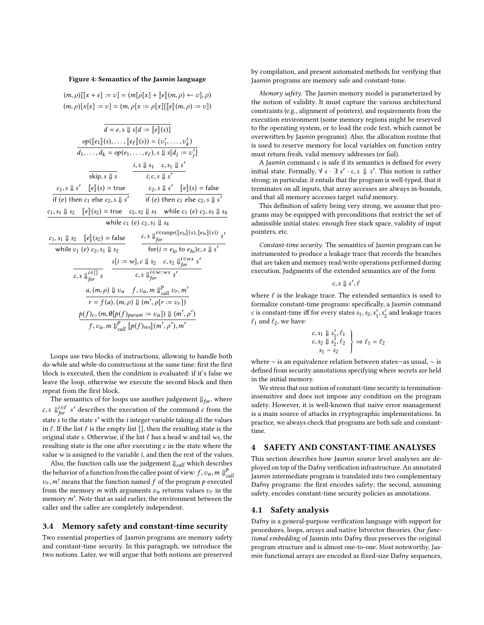#### <span id="page-7-1"></span>Figure 4: Semantics of the Jasmin language

 $(m, \rho)[[x + e] := v] = (m[\rho[x] + [e](m, \rho) \leftarrow v], \rho)$  $(m, \rho)[x[e] := v] = (m, \rho[x] = \rho[x][[e](m, \rho) := v])$ 

$$
\overline{d} = e, s \Downarrow s[d := [e](s)]
$$
\n
$$
\frac{op([e_1](s), \dots, [e_\ell](s)) = (v'_1, \dots, v'_k)}{d_1, \dots, d_k = op(e_1, \dots, e_\ell), s \Downarrow s[d_j := v'_j]}
$$
\n
$$
\frac{is \Downarrow s_1 \dots s_\ell}{s_1 \dots s_2 \dots s_\ell s'_1 \dots s_1 \dots s'_j}
$$
\n
$$
\frac{is \Downarrow s_1 \dots s_1 \Downarrow s'}{s_1 \dots s_2 \dots s'_j \dots s'_j}
$$
\n
$$
\frac{c_1, s \Downarrow s'_1 \dots s_1 \Downarrow s'_2}{\text{if (e) then } c_1 \text{ else } c_2, s \Downarrow s'_1} \cdot \frac{c_2, s \Downarrow s'_1 \dots s'_i}{\text{if (e) then } c_1 \text{ else } c_2, s \Downarrow s'_j}
$$
\n
$$
\frac{c_1, s_1 \Downarrow s_2 \dots [e](s_2) = \text{true } c_2, s_2 \Downarrow s_3 \text{ while } c_1 \text{ (e) } c_2, s_3 \Downarrow s_4}{\text{while } c_1 \text{ (e) } c_2, s_1 \Downarrow s_2} \cdot \frac{c, s \Downarrow_{for}^{i \text{erange}([e_{io}](s), [e_{hi}](s))}{\text{for}(i = e_{lo} \text{ to } e_{hi})c, s \Downarrow s'}
$$
\n
$$
\frac{s[i := w], c \Downarrow s_2 \dots s_2 \Downarrow_{for}^{i \text{e} \dots s} s'_j}{c, s \Downarrow_{for}^{i \text{e} \dots s} s'_j}
$$
\n
$$
\frac{a, (m, \rho) \Downarrow v_a \dots s_1 \Downarrow_{cell}^{e} v_r, m'}{r = f(a), (m, \rho) \Downarrow (m', \rho[r := v_r])}
$$
\n
$$
\frac{p(f)_c, (m, \emptyset[p(f)_param := v_a]) \Downarrow (m', \rho')}{f, v_a, m \Downarrow_{cell}^{p} [p(f)_{res}](m', \rho'), m'}
$$

Loops use two blocks of instructions, allowing to handle both do-while and while-do constructions at the same time: first the first block is executed, then the condition is evaluated: if it's false we leave the loop, otherwise we execute the second block and then repeat from the first block.

The semantics of for loops use another judgement  $\mathcal{V}_{for}$ , where c, s  $\bigcup_{for}^{\text{i} \in \ell} s'$  describes the execution of the command c from the state s to the state s' with the *i* integer variable taking all the values<br>in  $\ell$  If the list  $\ell$  is the empty list  $\Omega$  then the resulting state is the in  $\ell$ . If the list  $\ell$  is the empty list [], then the resulting state is the original state s. Otherwise, if the list  $\ell$  has a head w and tail ws, the resulting state is the one after executing  $c$  in the state where the value  $w$  is assigned to the variable  $i$ , and then the rest of the values.

Also, the function calls use the judgement  $\Downarrow_{\mathit{call}}$  which describes the behavior of a function from the callee point of view:  $f, v_a, m \Downarrow_{c}^{p}$ <br>g.  $m'$  means that the function named f of the program a execute call  $v_r$ , m' means that the function named f of the program p executed from the memory  $m$  with arguments  $v_a$  returns values  $v_r$  in the memory  $m'$ . Note that as said earlier, the environment between the caller and the caller are completely independent caller and the callee are completely independent.

#### 3.4 Memory safety and constant-time security

Two essential properties of Jasmin programs are memory safety and constant-time security. In this paragraph, we introduce the two notions. Later, we will argue that both notions are preserved

by compilation, and present automated methods for verifying that Jasmin programs are memory safe and constant-time.

Memory safety. The Jasmin memory model is parameterized by the notion of validity. It must capture the various architectural constraints (e.g., alignment of pointers), and requirements from the execution environment (some memory regions might be reserved to the operating system, or to load the code text, which cannot be overwritten by Jasmin programs). Also, the allocation routine that is used to reserve memory for local variables on function entry must return fresh, valid memory addresses (or fail).

A Jasmin command  $c$  is safe if its semantics is defined for every initial state. Formally,  $\forall s \cdot \exists s' \cdot c, s \Downarrow s'$ . This notion is rather<br>strong in particular it entails that the program is well-typed that it strong; in particular, it entails that the program is well-typed, that it terminates on all inputs, that array accesses are always in-bounds, and that all memory accesses target valid memory.

This definition of safety being very strong, we assume that programs may be equipped with preconditions that restrict the set of admissible initial states: enough free stack space, validity of input pointers, etc.

Constant-time security. The semantics of Jasmin program can be instrumented to produce a leakage trace that records the branches that are taken and memory read/write operations performed during execution. Judgments of the extended semantics are of the form

$$
c,s\Downarrow s',\ell
$$

where  $\ell$  is the leakage trace. The extended semantics is used to formalize constant-time programs: specifically a lasmin command formalize constant-time programs: specifically, a Jasmin command c is constant-time iff for every states  $s_1$ ,  $s_2$ ,  $s'_1$ ,  $s'_2$ ,  $s''_2$ ,  $s''_3$  $_2^{\prime}$  and leakage traces  $\ell_1$  and  $\ell_2$  we have:

$$
\begin{array}{c}\n c, s_1 \Downarrow s_1', \ell_1 \\
 c, s_2 \Downarrow s_2', \ell_2 \\
 s_1 \sim s_2\n \end{array}\n \bigg\} \Rightarrow \ell_1 = \ell_2
$$

where ∼ is an equivalence relation between states—as usual, ∼ is defined from security annotations specifying where secrets are held in the initial memory.

We stress that our notion of constant-time security is terminationinsensitive and does not impose any condition on the program safety. However, it is well-known that naive error management is a main source of attacks in cryptographic implementations. In practice, we always check that programs are both safe and constanttime.

## <span id="page-7-0"></span>4 SAFETY AND CONSTANT-TIME ANALYSES

This section describes how Jasmin source level analyses are deployed on top of the Dafny verification infrastructure. An annotated Jasmin intermediate program is translated into two complementary Dafny programs: the first encodes safety; the second, assuming safety, encodes constant-time security policies as annotations.

#### 4.1 Safety analysis

Dafny is a general-purpose verification language with support for procedures, loops, arrays and native bitvector theories. Our functional embedding of Jasmin into Dafny thus preserves the original program structure and is almost one-to-one. Most noteworthy, Jasmin functional arrays are encoded as fixed-size Dafny sequences,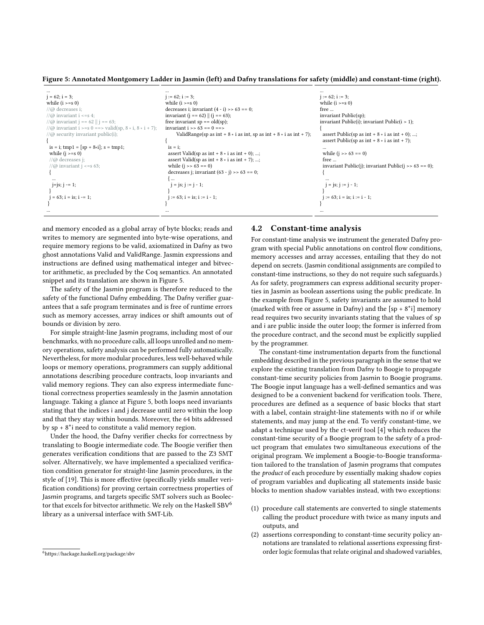<span id="page-8-0"></span>Figure 5: Annotated Montgomery Ladder in Jasmin (left) and Dafny translations for safety (middle) and constant-time (right).

|                                                              | $\cdots$                                                                          |                                                         |
|--------------------------------------------------------------|-----------------------------------------------------------------------------------|---------------------------------------------------------|
| $i = 62$ ; $i = 3$ ;                                         | $i := 62$ ; $i := 3$ ;                                                            | $i := 62; i := 3;$                                      |
| while $(i \ge s 0)$                                          | while $(i \ge s 0)$                                                               | while $(i \ge s 0)$                                     |
| $\pi/(\varpi)$ decreases i:                                  | decreases i; invariant $(4 - i)$ >> 63 == 0;                                      | free                                                    |
| // $\omega$ invariant i <= s 4;                              | invariant ( $j = 62$ )    ( $j = 63$ );                                           | invariant Public(sp);                                   |
| //@ invariant $j == 62$    $j == 63$ ;                       | free invariant $sp == old(sp);$                                                   | invariant Public(i); invariant Public( $i > 1$ );       |
| //@ invariant i >=s 0 ==> valid(sp, $8 * i$ , $8 * i + 7$ ); | invariant $i \gg 63 == 0 == 5$                                                    |                                                         |
| // $@$ security invariant public(i);                         | ValidRange(sp as int + $8 \times i$ as int, sp as int + $8 \times i$ as int + 7); | assert Public(sp as int + $8 \times i$ as int + 0); ;   |
|                                                              |                                                                                   | assert Public(sp as int + $8 * i$ as int + 7);          |
| is = i; tmp1 = $[sp + 8*1]$ ; s = tmp1;                      | $is = i$ ;                                                                        |                                                         |
| while $(i \ge s 0)$                                          | assert Valid(sp as int $+ 8 \times i$ as int $+ 0$ ); ;                           | while $(i \gg 63 == 0)$                                 |
| $//@$ decreases j;                                           | assert Valid(sp as int $+ 8 \times i$ as int $+ 7$ ); ;                           | free                                                    |
| // $\omega$ invariant j <= s 63;                             | while $(i \gg 63 == 0)$                                                           | invariant Public(j); invariant Public(j >> $63 == 0$ ); |
|                                                              | decreases i; invariant $(63 - i)$ >> 63 == 0;                                     |                                                         |
| $\cdots$                                                     | $\cdots$                                                                          |                                                         |
| $j = j$ s; $j = 1$ ;                                         | $j = js; j := j - 1;$                                                             | $j = js; j := j - 1;$                                   |
|                                                              |                                                                                   |                                                         |
| $i = 63$ ; $i = is$ ; $i == 1$ ;                             | $i := 63$ ; $i = is$ ; $i := i - 1$ ;                                             | $i := 63$ ; $i = is$ ; $i := i - 1$ ;                   |
|                                                              |                                                                                   |                                                         |
|                                                              |                                                                                   |                                                         |

and memory encoded as a global array of byte blocks; reads and writes to memory are segmented into byte-wise operations, and require memory regions to be valid, axiomatized in Dafny as two ghost annotations Valid and ValidRange. Jasmin expressions and instructions are defined using mathematical integer and bitvector arithmetic, as precluded by the Coq semantics. An annotated snippet and its translation are shown in Figure [5.](#page-8-0)

The safety of the Jasmin program is therefore reduced to the safety of the functional Dafny embedding. The Dafny verifier guarantees that a safe program terminates and is free of runtime errors such as memory accesses, array indices or shift amounts out of bounds or division by zero.

For simple straight-line Jasmin programs, including most of our benchmarks, with no procedure calls, all loops unrolled and no memory operations, safety analysis can be performed fully automatically. Nevertheless, for more modular procedures, less well-behaved while loops or memory operations, programmers can supply additional annotations describing procedure contracts, loop invariants and valid memory regions. They can also express intermediate functional correctness properties seamlessly in the Jasmin annotation language. Taking a glance at Figure [5,](#page-8-0) both loops need invariants stating that the indices i and j decrease until zero within the loop and that they stay within bounds. Moreover, the 64 bits addressed by  $sp + 8^*$  need to constitute a valid memory region.

Under the hood, the Dafny verifier checks for correctness by translating to Boogie intermediate code. The Boogie verifier then generates verification conditions that are passed to the Z3 SMT solver. Alternatively, we have implemented a specialized verification condition generator for straight-line Jasmin procedures, in the style of [\[19\]](#page-13-11). This is more effective (specifically yields smaller verification conditions) for proving certain correctness properties of Jasmin programs, and targets specific SMT solvers such as Boolec-tor that excels for bitvector arithmetic. We rely on the Haskell SBV<sup>[6](#page-8-1)</sup> library as a universal interface with SMT-Lib.

#### <span id="page-8-1"></span><sup>6</sup><https://hackage.haskell.org/package/sbv>

## 4.2 Constant-time analysis

For constant-time analysis we instrument the generated Dafny program with special Public annotations on control flow conditions, memory accesses and array accesses, entailing that they do not depend on secrets. (Jasmin conditional assignments are compiled to constant-time instructions, so they do not require such safeguards.) As for safety, programmers can express additional security properties in Jasmin as boolean assertions using the public predicate. In the example from Figure [5,](#page-8-0) safety invariants are assumed to hold (marked with free or assume in Dafny) and the  $[sp + 8^*i]$  memory read requires two security invariants stating that the values of sp and i are public inside the outer loop; the former is inferred from the procedure contract, and the second must be explicitly supplied by the programmer.

The constant-time instrumentation departs from the functional embedding described in the previous paragraph in the sense that we explore the existing translation from Dafny to Boogie to propagate constant-time security policies from Jasmin to Boogie programs. The Boogie input language has a well-defined semantics and was designed to be a convenient backend for verification tools. There, procedures are defined as a sequence of basic blocks that start with a label, contain straight-line statements with no if or while statements, and may jump at the end. To verify constant-time, we adapt a technique used by the ct-verif tool [\[4\]](#page-13-10) which reduces the constant-time security of a Boogie program to the safety of a product program that emulates two simultaneous executions of the original program. We implement a Boogie-to-Boogie transformation tailored to the translation of Jasmin programs that computes the product of each procedure by essentially making shadow copies of program variables and duplicating all statements inside basic blocks to mention shadow variables instead, with two exceptions:

- (1) procedure call statements are converted to single statements calling the product procedure with twice as many inputs and outputs, and
- (2) assertions corresponding to constant-time security policy annotations are translated to relational assertions expressing firstorder logic formulas that relate original and shadowed variables,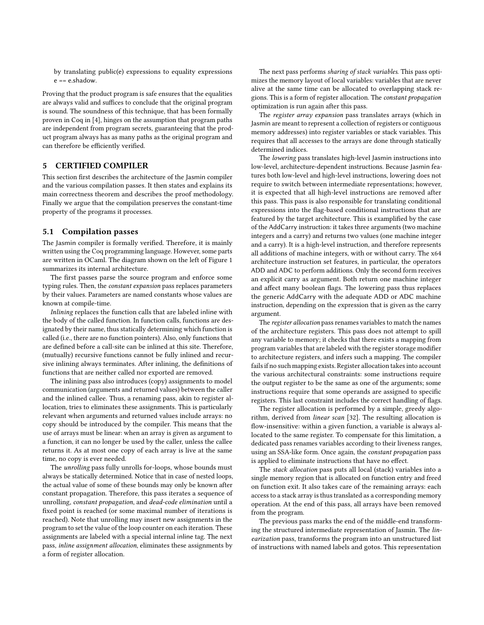by translating public(e) expressions to equality expressions  $e == e$ .shadow.

Proving that the product program is safe ensures that the equalities are always valid and suffices to conclude that the original program is sound. The soundness of this technique, that has been formally proven in Coq in [\[4\]](#page-13-10), hinges on the assumption that program paths are independent from program secrets, guaranteeing that the product program always has as many paths as the original program and can therefore be efficiently verified.

## <span id="page-9-0"></span>5 CERTIFIED COMPILER

This section first describes the architecture of the Jasmin compiler and the various compilation passes. It then states and explains its main correctness theorem and describes the proof methodology. Finally we argue that the compilation preserves the constant-time property of the programs it processes.

#### 5.1 Compilation passes

The Jasmin compiler is formally verified. Therefore, it is mainly written using the Coq programming language. However, some parts are written in OCaml. The diagram shown on the left of Figure [1](#page-1-0) summarizes its internal architecture.

The first passes parse the source program and enforce some typing rules. Then, the constant expansion pass replaces parameters by their values. Parameters are named constants whose values are known at compile-time.

Inlining replaces the function calls that are labeled inline with the body of the called function. In function calls, functions are designated by their name, thus statically determining which function is called (i.e., there are no function pointers). Also, only functions that are defined before a call-site can be inlined at this site. Therefore, (mutually) recursive functions cannot be fully inlined and recursive inlining always terminates. After inlining, the definitions of functions that are neither called nor exported are removed.

The inlining pass also introduces (copy) assignments to model communication (arguments and returned values) between the caller and the inlined callee. Thus, a renaming pass, akin to register allocation, tries to eliminates these assignments. This is particularly relevant when arguments and returned values include arrays: no copy should be introduced by the compiler. This means that the use of arrays must be linear: when an array is given as argument to a function, it can no longer be used by the caller, unless the callee returns it. As at most one copy of each array is live at the same time, no copy is ever needed.

The unrolling pass fully unrolls for-loops, whose bounds must always be statically determined. Notice that in case of nested loops, the actual value of some of these bounds may only be known after constant propagation. Therefore, this pass iterates a sequence of unrolling, constant propagation, and dead-code elimination until a fixed point is reached (or some maximal number of iterations is reached). Note that unrolling may insert new assignments in the program to set the value of the loop counter on each iteration. These assignments are labeled with a special internal inline tag. The next pass, inline assignment allocation, eliminates these assignments by a form of register allocation.

The next pass performs sharing of stack variables. This pass optimizes the memory layout of local variables: variables that are never alive at the same time can be allocated to overlapping stack regions. This is a form of register allocation. The constant propagation optimization is run again after this pass.

The register array expansion pass translates arrays (which in Jasmin are meant to represent a collection of registers or contiguous memory addresses) into register variables or stack variables. This requires that all accesses to the arrays are done through statically determined indices.

The lowering pass translates high-level Jasmin instructions into low-level, architecture-dependent instructions. Because Jasmin features both low-level and high-level instructions, lowering does not require to switch between intermediate representations; however, it is expected that all high-level instructions are removed after this pass. This pass is also responsible for translating conditional expressions into the flag-based conditional instructions that are featured by the target architecture. This is examplified by the case of the AddCarry instruction: it takes three arguments (two machine integers and a carry) and returns two values (one machine integer and a carry). It is a high-level instruction, and therefore represents all additions of machine integers, with or without carry. The x64 architecture instruction set features, in particular, the operators ADD and ADC to perform additions. Only the second form receives an explicit carry as argument. Both return one machine integer and affect many boolean flags. The lowering pass thus replaces the generic AddCarry with the adequate ADD or ADC machine instruction, depending on the expression that is given as the carry argument.

The register allocation pass renames variables to match the names of the architecture registers. This pass does not attempt to spill any variable to memory; it checks that there exists a mapping from program variables that are labeled with the register storage modifier to architecture registers, and infers such a mapping. The compiler fails if no such mapping exists. Register allocation takes into account the various architectural constraints: some instructions require the output register to be the same as one of the arguments; some instructions require that some operands are assigned to specific registers. This last constraint includes the correct handling of flags.

The register allocation is performed by a simple, greedy algorithm, derived from linear scan [\[32\]](#page-14-2). The resulting allocation is flow-insensitive: within a given function, a variable is always allocated to the same register. To compensate for this limitation, a dedicated pass renames variables according to their liveness ranges, using an SSA-like form. Once again, the constant propagation pass is applied to eliminate instructions that have no effect.

The stack allocation pass puts all local (stack) variables into a single memory region that is allocated on function entry and freed on function exit. It also takes care of the remaining arrays: each access to a stack array is thus translated as a corresponding memory operation. At the end of this pass, all arrays have been removed from the program.

The previous pass marks the end of the middle-end transforming the structured intermediate representation of Jasmin. The linearization pass, transforms the program into an unstructured list of instructions with named labels and gotos. This representation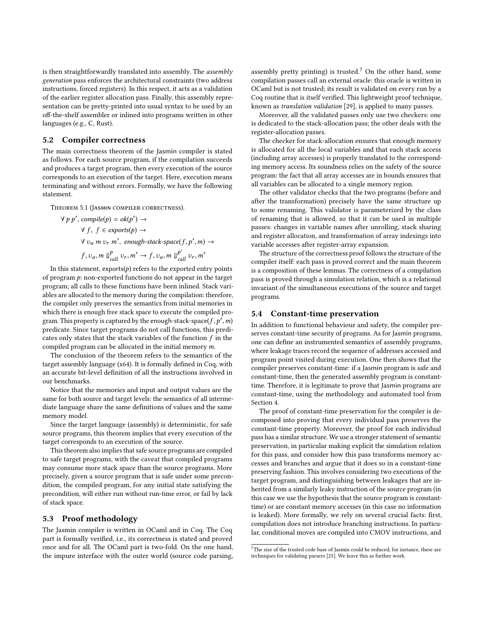is then straightforwardly translated into assembly. The assembly generation pass enforces the architectural constraints (two address instructions, forced registers). In this respect, it acts as a validation of the earlier register allocation pass. Finally, this assembly representation can be pretty-printed into usual syntax to be used by an off-the-shelf assembler or inlined into programs written in other languages (e.g., C, Rust).

# 5.2 Compiler correctness

The main correctness theorem of the Jasmin compiler is stated as follows. For each source program, if the compilation succeeds and produces a target program, then every execution of the source corresponds to an execution of the target. Here, execution means terminating and without errors. Formally, we have the following statement.

Theorem 5.1 (Jasmin compiler correctness).

 $\forall p p', \text{compile}(p) = \text{ok}(p') \rightarrow$  $\forall f, f \in$  exports $(p) \rightarrow$  $\forall v_a$  m  $v_r$  m', enough-stack-space(f, p', m) →  $f, v_a, m \Downarrow_{call}^p v_r, m' \rightarrow f, v_a, m \Downarrow_{call}^{p'} v_r, m'$ 

In this statement,  $\exp( p )$  refers to the exported entry points of program  $p$ : non-exported functions do not appear in the target program; all calls to these functions have been inlined. Stack variables are allocated to the memory during the compilation: therefore, the compiler only preserves the semantics from initial memories in which there is enough free stack space to execute the compiled program. This property is captured by the enough-stack-space $(f, p', m)$ predicate. Since target programs do not call functions, this predicates only states that the stack variables of the function  $f$  in the compiled program can be allocated in the initial memory m.

The conclusion of the theorem refers to the semantics of the target assembly language (x64). It is formally defined in Coq, with an accurate bit-level definition of all the instructions involved in our benchmarks.

Notice that the memories and input and output values are the same for both source and target levels: the semantics of all intermediate language share the same definitions of values and the same memory model.

Since the target language (assembly) is deterministic, for safe source programs, this theorem implies that every execution of the target corresponds to an execution of the source.

This theorem also implies that safe source programs are compiled to safe target programs, with the caveat that compiled programs may consume more stack space than the source programs. More precisely, given a source program that is safe under some precondition, the compiled program, for any initial state satisfying the precondition, will either run without run-time error, or fail by lack of stack space.

### 5.3 Proof methodology

The Jasmin compiler is written in OCaml and in Coq. The Coq part is formally verified, i.e., its correctness is stated and proved once and for all. The OCaml part is two-fold. On the one hand, the impure interface with the outer world (source code parsing, assembly pretty printing) is trusted.<sup>[7](#page-10-0)</sup> On the other hand, some compilation passes call an external oracle: this oracle is written in OCaml but is not trusted; its result is validated on every run by a Coq routine that is itself verified. This lightweight proof technique, known as translation validation [\[29\]](#page-13-16), is applied to many passes.

Moreover, all the validated passes only use two checkers: one is dedicated to the stack-allocation pass; the other deals with the register-allocation passes.

The checker for stack-allocation ensures that enough memory is allocated for all the local variables and that each stack access (including array accesses) is properly translated to the corresponding memory access. Its soundness relies on the safety of the source program: the fact that all array accesses are in bounds ensures that all variables can be allocated to a single memory region.

The other validator checks that the two programs (before and after the transformation) precisely have the same structure up to some renaming. This validator is parameterized by the class of renaming that is allowed, so that it can be used in multiple passes: changes in variable names after unrolling, stack sharing and register allocation, and transformation of array indexings into variable accesses after register-array expansion.

The structure of the correctness proof follows the structure of the compiler itself: each pass is proved correct and the main theorem is a composition of these lemmas. The correctness of a compilation pass is proved through a simulation relation, which is a relational invariant of the simultaneous executions of the source and target programs.

#### 5.4 Constant-time preservation

In addition to functional behaviour and safety, the compiler preserves constant-time security of programs. As for Jasmin programs, one can define an instrumented semantics of assembly programs, where leakage traces record the sequence of addresses accessed and program point visited during execution. One then shows that the compiler preserves constant-time: if a Jasmin program is safe and constant-time, then the generated assembly program is constanttime. Therefore, it is legitimate to prove that Jasmin programs are constant-time, using the methodology and automated tool from Section [4.](#page-7-0)

The proof of constant-time preservation for the compiler is decomposed into proving that every individual pass preserves the constant-time property. Moreover, the proof for each individual pass has a similar structure. We use a stronger statement of semantic preservation, in particular making explicit the simulation relation for this pass, and consider how this pass transforms memory accesses and branches and argue that it does so in a constant-time preserving fashion. This involves considering two executions of the target program, and distinguishing between leakages that are inherited from a similarly leaky instruction of the source program (in this case we use the hypothesis that the source program is constanttime) or are constant memory accesses (in this case no information is leaked). More formally, we rely on several crucial facts: first, compilation does not introduce branching instructions. In particular, conditional moves are compiled into CMOV instructions, and

<span id="page-10-0"></span> $^7\mathrm{The}$  size of the trusted code base of Jasmin could be reduced; for instance, there are techniques for validating parsers [\[25\]](#page-13-17). We leave this as further work.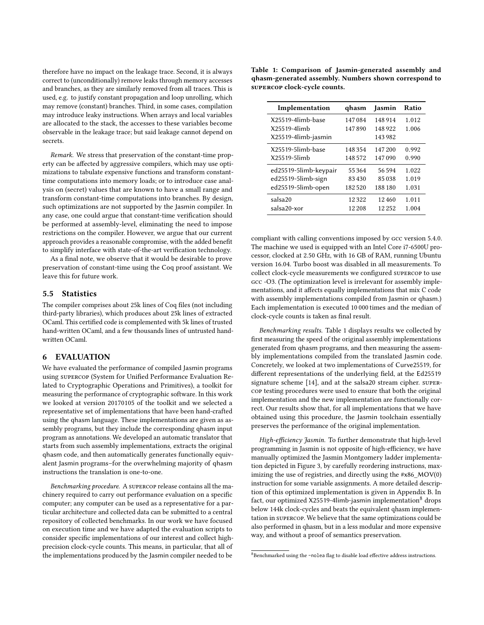therefore have no impact on the leakage trace. Second, it is always correct to (unconditionally) remove leaks through memory accesses and branches, as they are similarly removed from all traces. This is used, e.g. to justify constant propagation and loop unrolling, which may remove (constant) branches. Third, in some cases, compilation may introduce leaky instructions. When arrays and local variables are allocated to the stack, the accesses to these variables become observable in the leakage trace; but said leakage cannot depend on secrets.

Remark. We stress that preservation of the constant-time property can be affected by aggressive compilers, which may use optimizations to tabulate expensive functions and transform constanttime computations into memory loads; or to introduce case analysis on (secret) values that are known to have a small range and transform constant-time computations into branches. By design, such optimizations are not supported by the Jasmin compiler. In any case, one could argue that constant-time verification should be performed at assembly-level, eliminating the need to impose restrictions on the compiler. However, we argue that our current approach provides a reasonable compromise, with the added benefit to simplify interface with state-of-the-art verification technology.

As a final note, we observe that it would be desirable to prove preservation of constant-time using the Coq proof assistant. We leave this for future work.

#### 5.5 Statistics

The compiler comprises about 25k lines of Coq files (not including third-party libraries), which produces about 25k lines of extracted OCaml. This certified code is complemented with 5k lines of trusted hand-written OCaml, and a few thousands lines of untrusted handwritten OCaml.

## 6 EVALUATION

We have evaluated the performance of compiled Jasmin programs using supercop (System for Unified Performance Evaluation Related to Cryptographic Operations and Primitives), a toolkit for measuring the performance of cryptographic software. In this work we looked at version 20170105 of the toolkit and we selected a representative set of implementations that have been hand-crafted using the qhasm language. These implementations are given as assembly programs, but they include the corresponding qhasm input program as annotations. We developed an automatic translator that starts from such assembly implementations, extracts the original qhasm code, and then automatically generates functionally equivalent Jasmin programs–for the overwhelming majority of qhasm instructions the translation is one-to-one.

Benchmarking procedure. A supercop release contains all the machinery required to carry out performance evaluation on a specific computer; any computer can be used as a representative for a particular architecture and collected data can be submitted to a central repository of collected benchmarks. In our work we have focused on execution time and we have adapted the evaluation scripts to consider specific implementations of our interest and collect highprecision clock-cycle counts. This means, in particular, that all of the implementations produced by the Jasmin compiler needed to be

<span id="page-11-0"></span>Table 1: Comparison of Jasmin-generated assembly and qhasm-generated assembly. Numbers shown correspond to supercop clock-cycle counts.

| Implementation        | qhasm   | lasmin  | Ratio |
|-----------------------|---------|---------|-------|
| X25519-4limb-base     | 147084  | 148 914 | 1.012 |
| $X25519-4$ limh       | 147890  | 148 922 | 1.006 |
| X25519-4limb-jasmin   |         | 143 982 |       |
| X25519-5limb-base     | 148 354 | 147 200 | 0.992 |
| X25519-5limb          | 148 572 | 147090  | 0.990 |
| ed25519-5limb-keypair | 55 364  | 56594   | 1.022 |
| ed25519-5limb-sign    | 83430   | 85038   | 1.019 |
| ed25519-5limb-open    | 182.520 | 188 180 | 1.031 |
| salsa20               | 12322   | 12460   | 1.011 |
| salsa20-xor           | 12 208  | 12.252  | 1.004 |

compliant with calling conventions imposed by gcc version 5.4.0. The machine we used is equipped with an Intel Core i7-6500U processor, clocked at 2.50 GHz, with 16 GB of RAM, running Ubuntu version 16.04. Turbo boost was disabled in all measurements. To collect clock-cycle measurements we configured supercop to use gcc -O3. (The optimization level is irrelevant for assembly implementations, and it affects equally implementations that mix C code with assembly implementations compiled from Jasmin or qhasm.) Each implementation is executed 10 000 times and the median of clock-cycle counts is taken as final result.

Benchmarking results. Table [1](#page-11-0) displays results we collected by first measuring the speed of the original assembly implementations generated from qhasm programs, and then measuring the assembly implementations compiled from the translated Jasmin code. Concretely, we looked at two implementations of Curve25519, for different representations of the underlying field, at the Ed25519 signature scheme [\[14\]](#page-13-18), and at the salsa20 stream cipher. supercop testing procedures were used to ensure that both the original implementation and the new implementation are functionally correct. Our results show that, for all implementations that we have obtained using this procedure, the Jasmin toolchain essentially preserves the performance of the original implementation.

High-efficiency Jasmin. To further demonstrate that high-level programming in Jasmin is not opposite of high-efficiency, we have manually optimized the Jasmin Montgomery ladder implementation depicted in Figure [3,](#page-5-0) by carefully reordering instructions, maximizing the use of registries, and directly using the  $\#x86$  MOV(0) instruction for some variable assignments. A more detailed description of this optimized implementation is given in Appendix [B.](#page-15-0) In fact, our optimized X25519-4limb-jasmin implementation $8$  drops below 144k clock-cycles and beats the equivalent qhasm implementation in supercop. We believe that the same optimizations could be also performed in qhasm, but in a less modular and more expensive way, and without a proof of semantics preservation.

<span id="page-11-1"></span><sup>8</sup>Benchmarked using the -nolea flag to disable load effective address instructions.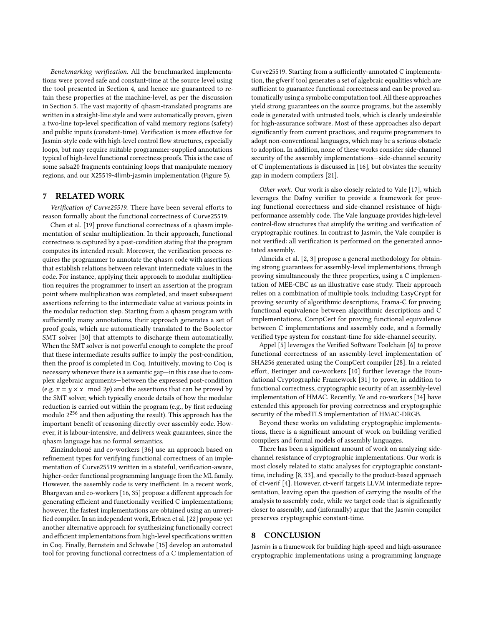Benchmarking verification. All the benchmarked implementations were proved safe and constant-time at the source level using the tool presented in Section [4,](#page-7-0) and hence are guaranteed to retain these properties at the machine-level, as per the discussion in Section [5.](#page-9-0) The vast majority of qhasm-translated programs are written in a straight-line style and were automatically proven, given a two-line top-level specification of valid memory regions (safety) and public inputs (constant-time). Verification is more effective for Jasmin-style code with high-level control flow structures, especially loops, but may require suitable programmer-supplied annotations typical of high-level functional correctness proofs. This is the case of some salsa20 fragments containing loops that manipulate memory regions, and our X25519-4limb-jasmin implementation (Figure [5\)](#page-8-0).

## 7 RELATED WORK

Verification of Curve25519. There have been several efforts to reason formally about the functional correctness of Curve25519.

Chen et al. [\[19\]](#page-13-11) prove functional correctness of a qhasm implementation of scalar multiplication. In their approach, functional correctness is captured by a post-condition stating that the program computes its intended result. Moreover, the verification process requires the programmer to annotate the qhasm code with assertions that establish relations between relevant intermediate values in the code. For instance, applying their approach to modular multiplication requires the programmer to insert an assertion at the program point where multiplication was completed, and insert subsequent assertions referring to the intermediate value at various points in the modular reduction step. Starting from a qhasm program with sufficiently many annotations, their approach generates a set of proof goals, which are automatically translated to the Boolector SMT solver [\[30\]](#page-14-0) that attempts to discharge them automatically. When the SMT solver is not powerful enough to complete the proof that these intermediate results suffice to imply the post-condition, then the proof is completed in Coq. Intuitively, moving to Coq is necessary whenever there is a semantic gap—in this case due to complex algebraic arguments—between the expressed post-condition (e.g.  $x = y \times x \mod 2p$ ) and the assertions that can be proved by the SMT solver, which typically encode details of how the modular reduction is carried out within the program (e.g., by first reducing modulo  $2^{256}$  and then adjusting the result). This approach has the important benefit of reasoning directly over assembly code. However, it is labour-intensive, and delivers weak guarantees, since the qhasm language has no formal semantics.

Zinzindohoué and co-workers [\[36\]](#page-14-3) use an approach based on refinement types for verifying functional correctness of an implementation of Curve25519 written in a stateful, verification-aware, higher-order functional programming language from the ML family. However, the assembly code is very inefficient. In a recent work, Bhargavan and co-workers [\[16,](#page-13-19) [35\]](#page-14-4) propose a different approach for generating efficient and functionally verified C implementations; however, the fastest implementations are obtained using an unverified compiler. In an independent work, Erbsen et al. [\[22\]](#page-13-20) propose yet another alternative approach for synthesizing functionally correct and efficient implementations from high-level specifications written in Coq. Finally, Bernstein and Schwabe [\[15\]](#page-13-21) develop an automated tool for proving functional correctness of a C implementation of

Curve25519. Starting from a sufficiently-annotated C implementation, the gfverif tool generates a set of algebraic equalities which are sufficient to guarantee functional correctness and can be proved automatically using a symbolic computation tool. All these approaches yield strong guarantees on the source programs, but the assembly code is generated with untrusted tools, which is clearly undesirable for high-assurance software. Most of these approaches also depart significantly from current practices, and require programmers to adopt non-conventional languages, which may be a serious obstacle to adoption. In addition, none of these works consider side-channel security of the assembly implementations—side-channel security of C implementations is discussed in [\[16\]](#page-13-19), but obviates the security gap in modern compilers [\[21\]](#page-13-4).

Other work. Our work is also closely related to Vale [\[17\]](#page-13-22), which leverages the Dafny verifier to provide a framework for proving functional correctness and side-channel resistance of highperformance assembly code. The Vale language provides high-level control-flow structures that simplify the writing and verification of cryptographic routines. In contrast to Jasmin, the Vale compiler is not verified: all verification is performed on the generated annotated assembly.

Almeida et al. [\[2,](#page-13-23) [3\]](#page-13-24) propose a general methodology for obtaining strong guarantees for assembly-level implementations, through proving simultaneously the three properties, using a C implementation of MEE-CBC as an illustrative case study. Their approach relies on a combination of multiple tools, including EasyCrypt for proving security of algorithmic descriptions, Frama-C for proving functional equivalence between algorithmic descriptions and C implementations, CompCert for proving functional equivalence between C implementations and assembly code, and a formally verified type system for constant-time for side-channel security.

Appel [\[5\]](#page-13-25) leverages the Verified Software Toolchain [\[6\]](#page-13-12) to prove functional correctness of an assembly-level implementation of SHA256 generated using the CompCert compiler [\[28\]](#page-13-26). In a related effort, Beringer and co-workers [\[10\]](#page-13-27) further leverage the Foundational Cryptographic Framework [\[31\]](#page-14-5) to prove, in addition to functional correctness, cryptographic security of an assembly-level implementation of HMAC. Recently, Ye and co-workers [\[34\]](#page-14-6) have extended this approach for proving correctness and cryptographic security of the mbedTLS implementation of HMAC-DRGB.

Beyond these works on validating cryptographic implementations, there is a significant amount of work on building verified compilers and formal models of assembly languages.

There has been a significant amount of work on analyzing sidechannel resistance of cryptographic implementations. Our work is most closely related to static analyses for cryptographic constanttime, including [\[8,](#page-13-28) [33\]](#page-14-7), and specially to the product-based approach of ct-verif [\[4\]](#page-13-10). However, ct-verif targets LLVM intermediate representation, leaving open the question of carrying the results of the analysis to assembly code, while we target code that is significantly closer to assembly, and (informally) argue that the Jasmin compiler preserves cryptographic constant-time.

#### 8 CONCLUSION

Jasmin is a framework for building high-speed and high-assurance cryptographic implementations using a programming language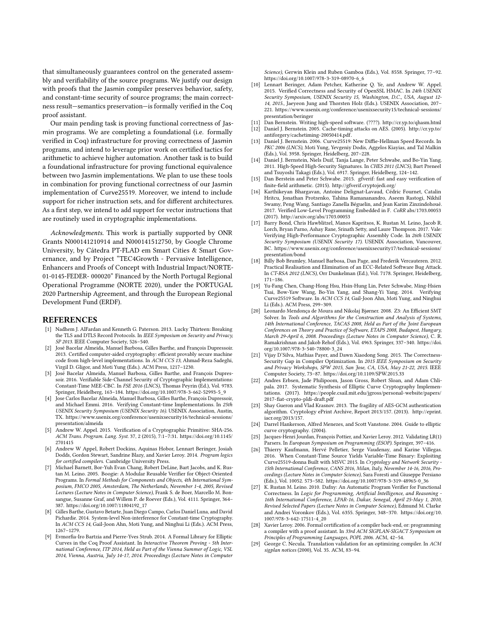that simultaneously guarantees control on the generated assembly and verifiability of the source programs. We justify our design with proofs that the Jasmin compiler preserves behavior, safety, and constant-time security of source programs; the main correctness result—semantics preservation—is formally verified in the Coq proof assistant.

Our main pending task is proving functional correctness of Jasmin programs. We are completing a foundational (i.e. formally verified in Coq) infrastructure for proving correctness of Jasmin programs, and intend to leverage prior work on certified tactics for arithmetic to achieve higher automation. Another task is to build a foundational infrastructure for proving functional equivalence between two Jasmin implementations. We plan to use these tools in combination for proving functional correctness of our Jasmin implementation of Curve25519. Moreover, we intend to include support for richer instruction sets, and for different architectures. As a first step, we intend to add support for vector instructions that are routinely used in cryptographic implementations.

Acknowledgments. This work is partially supported by ONR Grants N000141210914 and N000141512750, by Google Chrome University, by Cátedra PT-FLAD em Smart Cities & Smart Governance, and by Project "TEC4Growth - Pervasive Intelligence, Enhancers and Proofs of Concept with Industrial Impact/NORTE-01-0145-FEDER- 000020" Financed by the North Portugal Regional Operational Programme (NORTE 2020), under the PORTUGAL 2020 Partnership Agreement, and through the European Regional Development Fund (ERDF).

#### REFERENCES

- <span id="page-13-0"></span>[1] Nadhem J. AlFardan and Kenneth G. Paterson. 2013. Lucky Thirteen: Breaking the TLS and DTLS Record Protocols. In IEEE Symposium on Security and Privacy, SP 2013. IEEE Computer Society, 526–540.
- <span id="page-13-23"></span>[2] José Bacelar Almeida, Manuel Barbosa, Gilles Barthe, and François Dupressoir. 2013. Certified computer-aided cryptography: efficient provably secure machine code from high-level implementations. In ACM CCS 13, Ahmad-Reza Sadeghi, Virgil D. Gligor, and Moti Yung (Eds.). ACM Press, 1217–1230.
- <span id="page-13-24"></span>[3] José Bacelar Almeida, Manuel Barbosa, Gilles Barthe, and François Dupressoir. 2016. Verifiable Side-Channel Security of Cryptographic Implementations: Constant-Time MEE-CBC. In FSE 2016 (LNCS), Thomas Peyrin (Ed.), Vol. 9783. Springer, Heidelberg, 163–184. [https://doi.org/10.1007/978-3-662-52993-5\\_9](https://doi.org/10.1007/978-3-662-52993-5_9)
- <span id="page-13-10"></span>[4] Jose Carlos Bacelar Almeida, Manuel Barbosa, Gilles Barthe, François Dupressoir, and Michael Emmi. 2016. Verifying Constant-time Implementations. In 25th USENIX Security Symposium (USENIX Security 16). USENIX Association, Austin, TX. [https://www.usenix.org/conference/usenixsecurity16/technical-sessions/](https://www.usenix.org/conference/usenixsecurity16/technical-sessions/presentation/almeida) [presentation/almeida](https://www.usenix.org/conference/usenixsecurity16/technical-sessions/presentation/almeida)
- <span id="page-13-25"></span>[5] Andrew W. Appel. 2015. Verification of a Cryptographic Primitive: SHA-256. ACM Trans. Program. Lang. Syst. 37, 2 (2015), 7:1–7:31. [https://doi.org/10.1145/](https://doi.org/10.1145/2701415) [2701415](https://doi.org/10.1145/2701415)
- <span id="page-13-12"></span>[6] Andrew W Appel, Robert Dockins, Aquinas Hobor, Lennart Beringer, Josiah Dodds, Gordon Stewart, Sandrine Blazy, and Xavier Leroy. 2014. Program logics for certified compilers. Cambridge University Press.
- <span id="page-13-8"></span>[7] Michael Barnett, Bor-Yuh Evan Chang, Robert DeLine, Bart Jacobs, and K. Rustan M. Leino. 2005. Boogie: A Modular Reusable Verifier for Object-Oriented Programs. In Formal Methods for Components and Objects, 4th International Symposium, FMCO 2005, Amsterdam, The Netherlands, November 1-4, 2005, Revised Lectures (Lecture Notes in Computer Science), Frank S. de Boer, Marcello M. Bonsangue, Susanne Graf, and Willem P. de Roever (Eds.), Vol. 4111. Springer, 364– 387. [https://doi.org/10.1007/11804192\\_17](https://doi.org/10.1007/11804192_17)
- <span id="page-13-28"></span>[8] Gilles Barthe, Gustavo Betarte, Juan Diego Campo, Carlos Daniel Luna, and David Pichardie. 2014. System-level Non-interference for Constant-time Cryptography. In ACM CCS 14, Gail-Joon Ahn, Moti Yung, and Ninghui Li (Eds.). ACM Press, 1267–1279.
- <span id="page-13-13"></span>[9] Evmorfia-Iro Bartzia and Pierre-Yves Strub. 2014. A Formal Library for Elliptic Curves in the Coq Proof Assistant. In Interactive Theorem Proving - 5th International Conference, ITP 2014, Held as Part of the Vienna Summer of Logic, VSL 2014, Vienna, Austria, July 14-17, 2014. Proceedings (Lecture Notes in Computer

Science), Gerwin Klein and Ruben Gamboa (Eds.), Vol. 8558. Springer, 77–92. [https://doi.org/10.1007/978-3-319-08970-6\\_6](https://doi.org/10.1007/978-3-319-08970-6_6)

- <span id="page-13-27"></span>[10] Lennart Beringer, Adam Petcher, Katherine Q. Ye, and Andrew W. Appel. 2015. Verified Correctness and Security of OpenSSL HMAC. In 24th USENIX Security Symposium, USENIX Security 15, Washington, D.C., USA, August 12- 14, 2015., Jaeyeon Jung and Thorsten Holz (Eds.). USENIX Association, 207– 221. [https://www.usenix.org/conference/usenixsecurity15/technical-sessions/](https://www.usenix.org/conference/usenixsecurity15/technical-sessions/presentation/beringer) [presentation/beringer](https://www.usenix.org/conference/usenixsecurity15/technical-sessions/presentation/beringer)
- <span id="page-13-6"></span>[11] Dan Bernstein. Writing high-speed software. (????).<http://cr.yp.to/qhasm.html>
- <span id="page-13-1"></span>[12] Daniel J. Bernstein. 2005. Cache-timing attacks on AES. (2005). [http://cr.yp.to/](http://cr.yp.to/antiforgery/cachetiming-20050414.pdf) [antiforgery/cachetiming-20050414.pdf.](http://cr.yp.to/antiforgery/cachetiming-20050414.pdf)
- <span id="page-13-15"></span>[13] Daniel J. Bernstein. 2006. Curve25519: New Diffie-Hellman Speed Records. In PKC 2006 (LNCS), Moti Yung, Yevgeniy Dodis, Aggelos Kiayias, and Tal Malkin (Eds.), Vol. 3958. Springer, Heidelberg, 207–228.
- <span id="page-13-18"></span>[14] Daniel J. Bernstein, Niels Duif, Tanja Lange, Peter Schwabe, and Bo-Yin Yang. 2011. High-Speed High-Security Signatures. In CHES 2011 (LNCS), Bart Preneel and Tsuyoshi Takagi (Eds.), Vol. 6917. Springer, Heidelberg, 124–142.
- <span id="page-13-21"></span>Dan Berstein and Peter Schwabe. 2015. gfverif: fast and easy verification of finite-field arithmetic. (2015).<http://gfverif.cryptojedi.org/>
- <span id="page-13-19"></span>[16] Karthikeyan Bhargavan, Antoine Delignat-Lavaud, Cédric Fournet, Catalin Hritcu, Jonathan Protzenko, Tahina Ramananandro, Aseem Rastogi, Nikhil Swamy, Peng Wang, Santiago Zanella Béguelin, and Jean Karim Zinzindohoué. 2017. Verified Low-Level Programming Embedded in F. CoRR abs/1703.00053 (2017).<http://arxiv.org/abs/1703.00053>
- <span id="page-13-22"></span>[17] Barry Bond, Chris Hawblitzel, Manos Kapritsos, K. Rustan M. Leino, Jacob R. Lorch, Bryan Parno, Ashay Rane, Srinath Setty, and Laure Thompson. 2017. Vale: Verifying High-Performance Cryptographic Assembly Code. In 26th USENIX Security Symposium (USENIX Security 17). USENIX Association, Vancouver, BC. [https://www.usenix.org/conference/usenixsecurity17/technical-sessions/](https://www.usenix.org/conference/usenixsecurity17/technical-sessions/presentation/bond) [presentation/bond](https://www.usenix.org/conference/usenixsecurity17/technical-sessions/presentation/bond)
- <span id="page-13-2"></span>[18] Billy Bob Brumley, Manuel Barbosa, Dan Page, and Frederik Vercauteren. 2012. Practical Realisation and Elimination of an ECC-Related Software Bug Attack. In CT-RSA 2012 (LNCS), Orr Dunkelman (Ed.), Vol. 7178. Springer, Heidelberg, 171–186.
- <span id="page-13-11"></span>[19] Yu-Fang Chen, Chang-Hong Hsu, Hsin-Hung Lin, Peter Schwabe, Ming-Hsien Tsai, Bow-Yaw Wang, Bo-Yin Yang, and Shang-Yi Yang. 2014. Verifying<br>Curve25519 Software. In *ACM CCS 14*, Gail-Joon Ahn, Moti Yung, and Ninghui Li (Eds.). ACM Press, 299–309.
- <span id="page-13-9"></span>[20] Leonardo Mendonça de Moura and Nikolaj Bjørner. 2008. Z3: An Efficient SMT Solver. In Tools and Algorithms for the Construction and Analysis of Systems, 14th International Conference, TACAS 2008, Held as Part of the Joint European Conferences on Theory and Practice of Software, ETAPS 2008, Budapest, Hungary, March 29-April 6, 2008. Proceedings (Lecture Notes in Computer Science), C. R. Ramakrishnan and Jakob Rehof (Eds.), Vol. 4963. Springer, 337–340. [https://doi.](https://doi.org/10.1007/978-3-540-78800-3_24) [org/10.1007/978-3-540-78800-3\\_24](https://doi.org/10.1007/978-3-540-78800-3_24)
- <span id="page-13-4"></span>[21] Vijay D'Silva, Mathias Payer, and Dawn Xiaodong Song. 2015. The Correctness-Security Gap in Compiler Optimization. In 2015 IEEE Symposium on Security and Privacy Workshops, SPW 2015, San Jose, CA, USA, May 21-22, 2015. IEEE Computer Society, 73–87.<https://doi.org/10.1109/SPW.2015.33>
- <span id="page-13-20"></span>[22] Andres Erbsen, Jade Philipoom, Jason Gross, Robert Sloan, and Adam Chlipala. 2017. Systematic Synthesis of Elliptic Curve Cryptography Implementations. (2017). [https://people.csail.mit.edu/jgross/personal-website/papers/](https://people.csail.mit.edu/jgross/personal-website/papers/2017-fiat-crypto-pldi-draft.pdf) [2017-fiat-crypto-pldi-draft.pdf](https://people.csail.mit.edu/jgross/personal-website/papers/2017-fiat-crypto-pldi-draft.pdf)
- <span id="page-13-3"></span>[23] Shay Gueron and Vlad Krasnov. 2013. The fragility of AES-GCM authentication algorithm. Cryptology ePrint Archive, Report 2013/157. (2013). [http://eprint.](http://eprint.iacr.org/2013/157) [iacr.org/2013/157.](http://eprint.iacr.org/2013/157)
- <span id="page-13-14"></span>[24] Darrel Hankerson, Alfred Menezes, and Scott Vanstone. 2004. Guide to elliptic curve cryptography. (2004).
- <span id="page-13-17"></span>[25] Jacques-Henri Jourdan, François Pottier, and Xavier Leroy. 2012. Validating LR(1) Parsers. In European Symposium on Programming (ESOP). Springer, 397–416.
- <span id="page-13-5"></span>[26] Thierry Kaufmann, Hervé Pelletier, Serge Vaudenay, and Karine Villegas. 2016. When Constant-Time Source Yields Variable-Time Binary: Exploiting Curve25519-donna Built with MSVC 2015. In Cryptology and Network Security - 15th International Conference, CANS 2016, Milan, Italy, November 14-16, 2016, Proceedings (Lecture Notes in Computer Science), Sara Foresti and Giuseppe Persiano (Eds.), Vol. 10052. 573–582. [https://doi.org/10.1007/978-3-319-48965-0\\_36](https://doi.org/10.1007/978-3-319-48965-0_36)
- <span id="page-13-7"></span>[27] K. Rustan M. Leino. 2010. Dafny: An Automatic Program Verifier for Functional Correctness. In Logic for Programming, Artificial Intelligence, and Reasoning - 16th International Conference, LPAR-16, Dakar, Senegal, April 25-May 1, 2010, Revised Selected Papers (Lecture Notes in Computer Science), Edmund M. Clarke and Andrei Voronkov (Eds.), Vol. 6355. Springer, 348–370. [https://doi.org/10.](https://doi.org/10.1007/978-3-642-17511-4_20) [1007/978-3-642-17511-4\\_20](https://doi.org/10.1007/978-3-642-17511-4_20)
- <span id="page-13-26"></span>[28] Xavier Leroy. 2006. Formal certification of a compiler back-end, or: programming a compiler with a proof assistant. In 33rd ACM SIGPLAN-SIGACT Symposium on Principles of Programming Languages, POPL 2006. ACM, 42–54.
- <span id="page-13-16"></span>[29] George C. Necula. Translation validation for an optimizing compiler. In ACM sigplan notices (2000), Vol. 35. ACM, 83–94.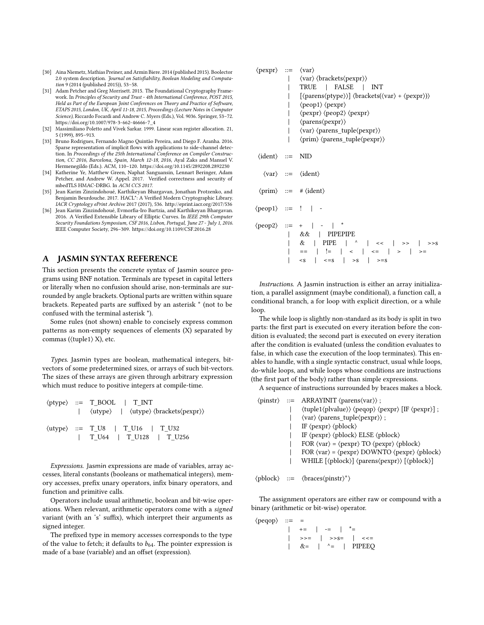- <span id="page-14-0"></span>[30] Aina Niemetz, Mathias Preiner, and Armin Biere. 2014 (published 2015). Boolector 2.0 system description. Journal on Satisfiability, Boolean Modeling and Computation 9 (2014 (published 2015)), 53–58.
- <span id="page-14-5"></span>[31] Adam Petcher and Greg Morrisett. 2015. The Foundational Cryptography Framework. In Principles of Security and Trust - 4th International Conference, POST 2015, Held as Part of the European Joint Conferences on Theory and Practice of Software, ETAPS 2015, London, UK, April 11-18, 2015, Proceedings (Lecture Notes in Computer Science), Riccardo Focardi and Andrew C. Myers (Eds.), Vol. 9036. Springer, 53–72. [https://doi.org/10.1007/978-3-662-46666-7\\_4](https://doi.org/10.1007/978-3-662-46666-7_4)
- <span id="page-14-2"></span>[32] Massimiliano Poletto and Vivek Sarkar. 1999. Linear scan register allocation. 21, 5 (1999), 895–913.
- <span id="page-14-7"></span>[33] Bruno Rodrigues, Fernando Magno Quintão Pereira, and Diego F. Aranha. 2016. Sparse representation of implicit flows with applications to side-channel detection. In Proceedings of the 25th International Conference on Compiler Construction, CC 2016, Barcelona, Spain, March 12-18, 2016, Ayal Zaks and Manuel V. Hermenegildo (Eds.). ACM, 110–120.<https://doi.org/10.1145/2892208.2892230>
- <span id="page-14-6"></span>[34] Katherine Ye, Matthew Green, Naphat Sanguansin, Lennart Beringer, Adam Petcher, and Andrew W. Appel. 2017. Verified correctness and security of mbedTLS HMAC-DRBG. In ACM CCS 2017.
- <span id="page-14-4"></span>[35] Jean Karim Zinzindohoué, Karthikeyan Bhargavan, Jonathan Protzenko, and Benjamin Beurdouche. 2017. HACL\*: A Verified Modern Cryptographic Library. IACR Cryptology ePrint Archive 2017 (2017), 536.<http://eprint.iacr.org/2017/536>
- <span id="page-14-3"></span>[36] Jean Karim Zinzindohoué, Evmorfia-Iro Bartzia, and Karthikeyan Bhargavan. 2016. A Verified Extensible Library of Elliptic Curves. In IEEE 29th Computer Security Foundations Symposium, CSF 2016, Lisbon, Portugal, June 27 - July 1, 2016. IEEE Computer Society, 296–309.<https://doi.org/10.1109/CSF.2016.28>

#### <span id="page-14-1"></span>A JASMIN SYNTAX REFERENCE

This section presents the concrete syntax of Jasmin source programs using BNF notation. Terminals are typeset in capital letters or literally when no confusion should arise, non-terminals are surrounded by angle brackets. Optional parts are written within square brackets. Repeated parts are suffixed by an asterisk <sup>∗</sup> (not to be confused with the terminal asterisk \*).

Some rules (not shown) enable to concisely express common patterns as non-empty sequences of elements (X) separated by commas (⟨tuple1⟩ X), etc.

Types. Jasmin types are boolean, mathematical integers, bitvectors of some predetermined sizes, or arrays of such bit-vectors. The sizes of these arrays are given through arbitrary expression which must reduce to positive integers at compile-time.

|  | $\langle$ ptype $\rangle$ ::= T_BOOL   T INT<br>$\vert$ $\langle$ utype $\rangle$ $\vert$ $\langle$ utype $\rangle$ $\langle$ brackets $\langle$ pexpr $\rangle$ |
|--|------------------------------------------------------------------------------------------------------------------------------------------------------------------|
|  | $\langle$ utype $\rangle$ ::= T U8   T U16   T U32<br>$\vert$ T U64 $\vert$ T U128 $\vert$ T U256                                                                |

Expressions. Jasmin expressions are made of variables, array accesses, literal constants (booleans or mathematical integers), memory accesses, prefix unary operators, infix binary operators, and function and primitive calls.

Operators include usual arithmetic, boolean and bit-wise operations. When relevant, arithmetic operators come with a signed variant (with an 's' suffix), which interpret their arguments as signed integer.

The prefixed type in memory accesses corresponds to the type of the value to fetch; it defaults to  $b_{64}$ . The pointer expression is made of a base (variable) and an offset (expression).

| $\langle pexpr \rangle ::= \langle var \rangle$ | $\langle var \rangle \langle brackets \langle pexpr \rangle \rangle$<br>TRUE   FALSE   INT<br>[\/parens\/ptype})] \/brackets(\/var\) + \/pexpr\))\<br>$\langle$ peop1 $\rangle$ $\langle$ pexpr $\rangle$<br>$\langle pexpr \rangle \langle peq\rangle \langle pexpr \rangle$<br>$\langle parents \langle pexpr \rangle \rangle$<br>$\langle var \rangle$ $\langle parents_tuple \langle pexpr \rangle$<br>$\langle \text{prim} \rangle$ $\langle \text{parents\_tuple} \langle \text{pexpr} \rangle$ |
|-------------------------------------------------|-------------------------------------------------------------------------------------------------------------------------------------------------------------------------------------------------------------------------------------------------------------------------------------------------------------------------------------------------------------------------------------------------------------------------------------------------------------------------------------------------------|
| $\langle$ ident $\rangle$ ::= NID               |                                                                                                                                                                                                                                                                                                                                                                                                                                                                                                       |
|                                                 | $\langle var \rangle ::= \langle ident \rangle$                                                                                                                                                                                                                                                                                                                                                                                                                                                       |
|                                                 | $\langle \text{prim} \rangle ::= # \langle \text{ident} \rangle$                                                                                                                                                                                                                                                                                                                                                                                                                                      |
|                                                 | $\langle$ peop1 $\rangle$ ::= !   -                                                                                                                                                                                                                                                                                                                                                                                                                                                                   |
|                                                 | $\langle \text{peop2} \rangle ::= +   -  $<br>&&   PIPEPIPE<br>&   PIPE   $\land$   <<   >>  <br>>>S<br>==   !=   <   <=   >   >=<br>$\langle -s \rangle$ $\langle -s \rangle$ $\langle -s \rangle$ $\langle -s \rangle$ $\langle -s \rangle$                                                                                                                                                                                                                                                         |

Instructions. A Jasmin instruction is either an array initialization, a parallel assignment (maybe conditional), a function call, a conditional branch, a for loop with explicit direction, or a while loop.

The while loop is slightly non-standard as its body is split in two parts: the first part is executed on every iteration before the condition is evaluated; the second part is executed on every iteration after the condition is evaluated (unless the condition evaluates to false, in which case the execution of the loop terminates). This enables to handle, with a single syntactic construct, usual while loops, do-while loops, and while loops whose conditions are instructions (the first part of the body) rather than simple expressions.

A sequence of instructions surrounded by braces makes a block.

|  | $\langle \text{pinstr} \rangle ::= \text{ARRAYINIT} \langle \text{parents} \langle \text{var} \rangle \rangle$ ;                      |
|--|---------------------------------------------------------------------------------------------------------------------------------------|
|  | \tuple1\\theta>\) \\theta> \texpr\} [IF \\theta> \texpr\} ] ;                                                                         |
|  | \/\/\/var\ \text{\parens_tuple\(pexpr) \till                                                                                          |
|  | IF $\langle pexpr \rangle \langle pblock \rangle$                                                                                     |
|  | IF $\langle pexpr \rangle \langle pblock \rangle$ ELSE $\langle pblock \rangle$                                                       |
|  | FOR $\langle var \rangle = \langle pexpr \rangle \langle TQ \rangle \langle pexpr \rangle \langle pblock \rangle$                     |
|  | FOR $\langle var \rangle = \langle pexpr \rangle$ DOWNTO $\langle pexpr \rangle$ $\langle phlock \rangle$                             |
|  | WHILE $[\langle \text{pblock} \rangle] \langle \text{parents} \langle \text{pexpr} \rangle \rangle$ $[\langle \text{pblock} \rangle]$ |
|  |                                                                                                                                       |

⟨pblock⟩ ::= ⟨braces⟨pinstr⟩ ∗ ⟩

The assignment operators are either raw or compound with a binary (arithmetic or bit-wise) operator.

 $\langle$ peqop $\rangle$  ::= =

| += | -= | \*=  $|\quad >> = \quad |\quad >> \mathsf{S}^\pm \quad \ \ |\quad << =$  $&= | ^{\wedge} = |$  PIPEEQ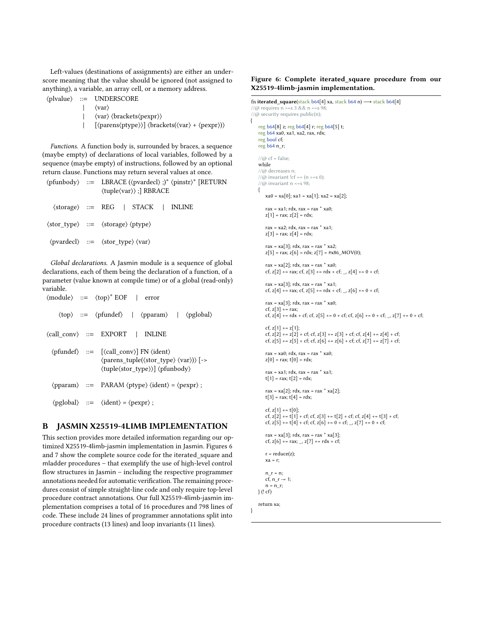Left-values (destinations of assignments) are either an underscore meaning that the value should be ignored (not assigned to anything), a variable, an array cell, or a memory address.

⟨plvalue⟩ ::= UNDERSCORE | ⟨var⟩ | ⟨var⟩ ⟨brackets⟨pexpr⟩⟩

| [⟨parens⟨ptype⟩⟩] ⟨brackets(⟨var⟩ + ⟨pexpr⟩)⟩

{

}

Functions. A function body is, surrounded by braces, a sequence (maybe empty) of declarations of local variables, followed by a sequence (maybe empty) of instructions, followed by an optional return clause. Functions may return several values at once.

|  | $\langle \text{pfunbody} \rangle$ ::= LBRACE ( $\langle \text{pvardecl} \rangle$ ;)* $\langle \text{pinstr} \rangle^*$ [RETURN<br>$\langle \text{tuple}\langle \text{var} \rangle \rangle$ ; RBRACE |  |
|--|-----------------------------------------------------------------------------------------------------------------------------------------------------------------------------------------------------|--|
|  | $\langle$ storage $\rangle ::=$ REG   STACK   INLINE                                                                                                                                                |  |
|  | $\langle$ stor_type $\rangle$ ::= $\langle$ storage $\rangle \langle$ ptype $\rangle$                                                                                                               |  |
|  | $\langle \text{pvardecl} \rangle$ ::= $\langle \text{stor\_type} \rangle \langle \text{var} \rangle$                                                                                                |  |

Global declarations. A Jasmin module is a sequence of global declarations, each of them being the declaration of a function, of a parameter (value known at compile time) or of a global (read-only) variable. <sup>∗</sup> EOF | error

|  | $\langle$ module $\rangle$ ::= $\langle$ top $\rangle$ <sup>*</sup> EOF   error                                                                                                                                                                                                       |
|--|---------------------------------------------------------------------------------------------------------------------------------------------------------------------------------------------------------------------------------------------------------------------------------------|
|  | $\langle \text{top} \rangle ::= \langle \text{pfundef} \rangle$   $\langle \text{pparam} \rangle$   $\langle \text{pglobal} \rangle$                                                                                                                                                  |
|  | $\langle \text{call\_conv} \rangle ::= \text{EXPORT} \mid \text{INLINE}$                                                                                                                                                                                                              |
|  | $\langle$ pfundef $\rangle$ ::= $[\langle$ call conv $\rangle$ FN $\langle$ ident $\rangle$<br>$\langle parents_tuple(\langle stor_type \rangle \langle var \rangle) \rangle$ [-><br>$\langle \text{tuple}\langle \text{stor type} \rangle \rangle$ $\langle \text{pfunbody} \rangle$ |
|  | $\langle$ pparam $\rangle$ ::= PARAM $\langle$ ptype $\rangle$ $\langle$ ident $\rangle$ = $\langle$ pexpr $\rangle$ ;                                                                                                                                                                |
|  | $\langle$ pglobal $\rangle$ ::= $\langle$ ident $\rangle$ = $\langle$ pexpr $\rangle$ ;                                                                                                                                                                                               |

# <span id="page-15-0"></span>B JASMIN X25519-4LIMB IMPLEMENTATION

This section provides more detailed information regarding our optimized X25519-4limb-jasmin implementation in Jasmin. Figures [6](#page-15-1) and [7](#page-16-0) show the complete source code for the iterated\_square and mladder procedures – that exemplify the use of high-level control flow structures in Jasmin – including the respective programmer annotations needed for automatic verification. The remaining procedures consist of simple straight-line code and only require top-level procedure contract annotations. Our full X25519-4limb-jasmin implementation comprises a total of 16 procedures and 798 lines of code. These include 24 lines of programmer annotations split into procedure contracts (13 lines) and loop invariants (11 lines).

#### <span id="page-15-1"></span>Figure 6: Complete iterated\_square procedure from our X25519-4limb-jasmin implementation.

```
fn iterated_square(stack b64[4] xa, stack b64 n) → stack b64[4]
//@ requires n >=s 3 && n <=s 98;
//@ security requires public(n);
    reg b64[8] z; reg b64[4] r; reg b64[5] t;
    reg b64 xa0, xa1, xa2, rax, rdx;
    reg bool cf;
    reg b64 n_r;
    1/(Q \text{ cf} = \text{false};while
    //@ decreases n;
    1/(a) invariant !cf == (n >=s 0);
    //@ invariant n <= s 98;
    {
        xa0 = xa[0]; xa1 = xa[1]; xa2 = xa[2];rax = xa1; rdx, rax = rax * xa0;
       z[1] = \text{max}; z[2] = \text{rdx};rax = xa2; rdx, rax = rax * xa1;
       z[3] = \text{max}; z[4] = \text{rdx};rax = xa[3]; rdx, rax = rax * xa2;
       z[5] = \text{rax}; z[6] = \text{rdx}; z[7] = \text{\#x86}\_\text{MOV}(0);rax = xa[2]; rdx, rax = rax * xa0;
       cf, z[2] += rax; cf, z[3] += rdx + cf; _, z[4] += 0 + cf;
       rax = xa[3]; rdx, rax = rax * xa1;
       cf, z[4] += rax; cf, z[5] += rdx + cf; _, z[6] += 0 + cf;
       \text{rax} = \text{xa[3]}; \text{rdx}, \text{rax} = \text{rax} * \text{xa0};cf, z[3] += rax;<br>cf, z[4] += rdx + cf; cf, z[5] += 0 + cf; cf, z[6] += 0 + cf; _, z[7] += 0 + cf;
       cf, z[1] += z[1];cf, z[2] += z[2] + cf; cf, z[3] += z[3] + cf; cf, z[4] += z[4] + cf;
        cf, z[5] += z[5] + cf; cf, z[6] += z[6] + cf; cf, z[7] += z[7] + cf;
        \text{rax} = \text{xa0}; \text{rdx}, \text{rax} = \text{rax} * \text{xa0};z[0] = rax; t[0] = rdx;
        \text{rax} = \text{xa1}; \text{rdx}, \text{rax} = \text{rax} * \text{xa1};t[1] = rax; t[2] = rdx;
        \text{rax} = \text{xa}[2]; \text{rdx}, \text{rax} = \text{rax} * \text{xa}[2];t[3] = rax; t[4] = rdx;cf, z[1] += t[0];
       cf, z[2] += t[1] + cf; cf, z[3] += t[2] + cf; cf, z[4] += t[3] + cf;
        cf, z[5] += t[4] + cf; cf, z[6] += 0 + cf; _, z[7] += 0 + cf;
        rax = xa[3]; rdx, rax = rax * xa[3];
        cf, z[6] += rax; _, z[7] += rdx + cf;
        r = reduce(z);xa = r;
       n r = n;
       cf, n_r -= 1;
       n = n_r;
   \} (! cf)
   return xa;
```